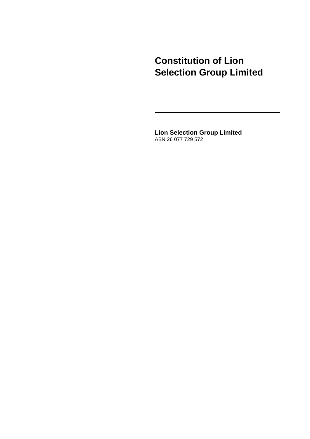# **Constitution of Lion Selection Group Limited**

**Lion Selection Group Limited** ABN 26 077 729 572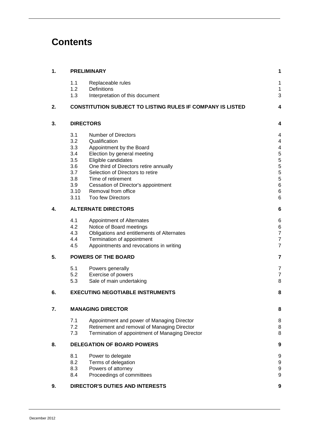# **Contents**

| 1. |                                   | <b>PRELIMINARY</b>                                                | 1      |  |
|----|-----------------------------------|-------------------------------------------------------------------|--------|--|
|    | 1.1                               | Replaceable rules                                                 | 1      |  |
|    | 1.2                               | Definitions                                                       | 1      |  |
|    | 1.3                               | Interpretation of this document                                   | 3      |  |
| 2. |                                   | <b>CONSTITUTION SUBJECT TO LISTING RULES IF COMPANY IS LISTED</b> | 4      |  |
| 3. |                                   | <b>DIRECTORS</b>                                                  | 4      |  |
|    | 3.1                               | <b>Number of Directors</b>                                        | 4      |  |
|    | 3.2                               | Qualification                                                     | 4      |  |
|    | 3.3                               | Appointment by the Board                                          | 4      |  |
|    | 3.4                               | Election by general meeting                                       | 5      |  |
|    | 3.5                               | Eligible candidates                                               | 5      |  |
|    | 3.6                               | One third of Directors retire annually                            | 5<br>5 |  |
|    | 3.7                               | Selection of Directors to retire                                  |        |  |
|    | 3.8                               | Time of retirement                                                | 5      |  |
|    | 3.9                               | Cessation of Director's appointment                               | 6      |  |
|    | 3.10                              | Removal from office                                               | 6      |  |
|    | 3.11                              | <b>Too few Directors</b>                                          | 6      |  |
| 4. | <b>ALTERNATE DIRECTORS</b>        |                                                                   |        |  |
|    | 4.1                               | Appointment of Alternates                                         | 6      |  |
|    | 4.2                               | Notice of Board meetings                                          | 6      |  |
|    | 4.3                               | Obligations and entitlements of Alternates                        | 7      |  |
|    | 4.4                               | Termination of appointment                                        | 7      |  |
|    | 4.5                               | Appointments and revocations in writing                           | 7      |  |
| 5. |                                   | <b>POWERS OF THE BOARD</b>                                        | 7      |  |
|    | 5.1                               | Powers generally                                                  | 7      |  |
|    | 5.2                               | Exercise of powers                                                | 7      |  |
|    | 5.3                               | Sale of main undertaking                                          | 8      |  |
| 6. |                                   | <b>EXECUTING NEGOTIABLE INSTRUMENTS</b>                           | 8      |  |
| 7. |                                   | <b>MANAGING DIRECTOR</b>                                          | 8      |  |
|    | 7.1                               | Appointment and power of Managing Director                        | 8      |  |
|    | 7.2                               | Retirement and removal of Managing Director                       | 8      |  |
|    | 7.3                               | Termination of appointment of Managing Director                   | 8      |  |
| 8. | <b>DELEGATION OF BOARD POWERS</b> |                                                                   |        |  |
|    | 8.1                               | Power to delegate                                                 | 9      |  |
|    | 8.2                               | Terms of delegation                                               | 9      |  |
|    | 8.3                               | Powers of attorney                                                | 9      |  |
|    | 8.4                               | Proceedings of committees                                         | 9      |  |
| 9. |                                   | <b>DIRECTOR'S DUTIES AND INTERESTS</b>                            | 9      |  |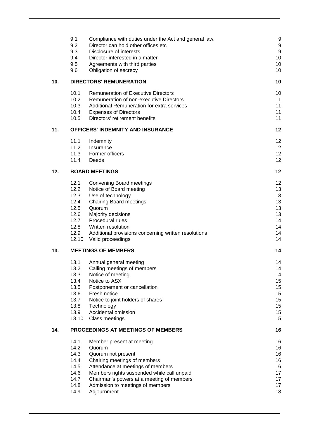|     | 9.1                                                                                                                   | Compliance with duties under the Act and general law.                                                                                                                                                                                                                                                                                                                                                                                 | 9                                                                                            |
|-----|-----------------------------------------------------------------------------------------------------------------------|---------------------------------------------------------------------------------------------------------------------------------------------------------------------------------------------------------------------------------------------------------------------------------------------------------------------------------------------------------------------------------------------------------------------------------------|----------------------------------------------------------------------------------------------|
|     | 9.2                                                                                                                   | Director can hold other offices etc                                                                                                                                                                                                                                                                                                                                                                                                   | 9                                                                                            |
|     | 9.3                                                                                                                   | Disclosure of interests                                                                                                                                                                                                                                                                                                                                                                                                               | 9                                                                                            |
|     | 9.4                                                                                                                   | Director interested in a matter                                                                                                                                                                                                                                                                                                                                                                                                       | 10                                                                                           |
|     | 9.5                                                                                                                   | Agreements with third parties                                                                                                                                                                                                                                                                                                                                                                                                         | 10                                                                                           |
|     | 9.6                                                                                                                   | Obligation of secrecy                                                                                                                                                                                                                                                                                                                                                                                                                 | 10                                                                                           |
| 10. | <b>DIRECTORS' REMUNERATION</b>                                                                                        |                                                                                                                                                                                                                                                                                                                                                                                                                                       |                                                                                              |
|     | 10.1                                                                                                                  | <b>Remuneration of Executive Directors</b>                                                                                                                                                                                                                                                                                                                                                                                            | 10                                                                                           |
|     | 10.2                                                                                                                  | Remuneration of non-executive Directors                                                                                                                                                                                                                                                                                                                                                                                               | 11                                                                                           |
|     | 10.3                                                                                                                  | Additional Remuneration for extra services                                                                                                                                                                                                                                                                                                                                                                                            | 11                                                                                           |
|     | 10.4                                                                                                                  | <b>Expenses of Directors</b>                                                                                                                                                                                                                                                                                                                                                                                                          | 11                                                                                           |
|     | 10.5                                                                                                                  | Directors' retirement benefits                                                                                                                                                                                                                                                                                                                                                                                                        | 11                                                                                           |
| 11. |                                                                                                                       | <b>OFFICERS' INDEMNITY AND INSURANCE</b>                                                                                                                                                                                                                                                                                                                                                                                              | 12                                                                                           |
|     | 11.1                                                                                                                  | Indemnity                                                                                                                                                                                                                                                                                                                                                                                                                             | 12                                                                                           |
|     | 11.2                                                                                                                  | Insurance                                                                                                                                                                                                                                                                                                                                                                                                                             | 12                                                                                           |
|     | 11.3                                                                                                                  | Former officers                                                                                                                                                                                                                                                                                                                                                                                                                       | 12                                                                                           |
|     | 11.4                                                                                                                  | Deeds                                                                                                                                                                                                                                                                                                                                                                                                                                 | 12                                                                                           |
| 12. |                                                                                                                       | <b>BOARD MEETINGS</b>                                                                                                                                                                                                                                                                                                                                                                                                                 | 12                                                                                           |
| 13. | 12.1<br>12.2<br>12.3<br>12.4<br>12.5<br>12.6<br>12.7<br>12.8<br>12.9<br>12.10<br>13.1<br>13.2<br>13.3<br>13.4<br>13.5 | <b>Convening Board meetings</b><br>Notice of Board meeting<br>Use of technology<br><b>Chairing Board meetings</b><br>Quorum<br>Majority decisions<br>Procedural rules<br>Written resolution<br>Additional provisions concerning written resolutions<br>Valid proceedings<br><b>MEETINGS OF MEMBERS</b><br>Annual general meeting<br>Calling meetings of members<br>Notice of meeting<br>Notice to ASX<br>Postponement or cancellation | 12<br>13<br>13<br>13<br>13<br>13<br>14<br>14<br>14<br>14<br>14<br>14<br>14<br>14<br>15<br>15 |
|     | 13.6                                                                                                                  | Fresh notice                                                                                                                                                                                                                                                                                                                                                                                                                          | 15                                                                                           |
|     | 13.7                                                                                                                  | Notice to joint holders of shares                                                                                                                                                                                                                                                                                                                                                                                                     | 15                                                                                           |
|     | 13.8                                                                                                                  | Technology                                                                                                                                                                                                                                                                                                                                                                                                                            | 15                                                                                           |
|     | 13.9                                                                                                                  | Accidental omission                                                                                                                                                                                                                                                                                                                                                                                                                   | 15                                                                                           |
|     | 13.10                                                                                                                 | Class meetings                                                                                                                                                                                                                                                                                                                                                                                                                        | 15                                                                                           |
| 14. |                                                                                                                       | PROCEEDINGS AT MEETINGS OF MEMBERS                                                                                                                                                                                                                                                                                                                                                                                                    | 16                                                                                           |
|     | 14.1                                                                                                                  | Member present at meeting                                                                                                                                                                                                                                                                                                                                                                                                             | 16                                                                                           |
|     | 14.2                                                                                                                  | Quorum                                                                                                                                                                                                                                                                                                                                                                                                                                | 16                                                                                           |
|     | 14.3                                                                                                                  | Quorum not present                                                                                                                                                                                                                                                                                                                                                                                                                    | 16                                                                                           |
|     | 14.4                                                                                                                  | Chairing meetings of members                                                                                                                                                                                                                                                                                                                                                                                                          | 16                                                                                           |
|     | 14.5                                                                                                                  | Attendance at meetings of members                                                                                                                                                                                                                                                                                                                                                                                                     | 16                                                                                           |
|     | 14.6                                                                                                                  | Members rights suspended while call unpaid                                                                                                                                                                                                                                                                                                                                                                                            | 17                                                                                           |
|     | 14.7                                                                                                                  | Chairman's powers at a meeting of members                                                                                                                                                                                                                                                                                                                                                                                             | 17                                                                                           |
|     | 14.8                                                                                                                  | Admission to meetings of members                                                                                                                                                                                                                                                                                                                                                                                                      | 17                                                                                           |
|     | 14.9                                                                                                                  | Adjournment                                                                                                                                                                                                                                                                                                                                                                                                                           | 18                                                                                           |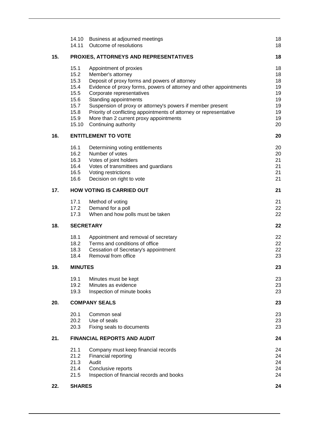|     | 14.10                      | Business at adjourned meetings                                     | 18 |  |
|-----|----------------------------|--------------------------------------------------------------------|----|--|
|     | 14.11                      | Outcome of resolutions                                             | 18 |  |
| 15. |                            | PROXIES, ATTORNEYS AND REPRESENTATIVES                             | 18 |  |
|     | 15.1                       | Appointment of proxies                                             | 18 |  |
|     | 15.2                       | Member's attorney                                                  | 18 |  |
|     | 15.3                       | Deposit of proxy forms and powers of attorney                      | 18 |  |
|     | 15.4                       | Evidence of proxy forms, powers of attorney and other appointments | 19 |  |
|     | 15.5                       | Corporate representatives                                          | 19 |  |
|     | 15.6                       | Standing appointments                                              | 19 |  |
|     | 15.7                       | Suspension of proxy or attorney's powers if member present         | 19 |  |
|     | 15.8                       | Priority of conflicting appointments of attorney or representative | 19 |  |
|     | 15.9                       | More than 2 current proxy appointments                             | 19 |  |
|     | 15.10                      | Continuing authority                                               | 20 |  |
| 16. | <b>ENTITLEMENT TO VOTE</b> |                                                                    |    |  |
|     | 16.1                       | Determining voting entitlements                                    | 20 |  |
|     | 16.2                       | Number of votes                                                    | 20 |  |
|     | 16.3                       | Votes of joint holders                                             | 21 |  |
|     | 16.4                       | Votes of transmittees and guardians                                | 21 |  |
|     | 16.5                       | Voting restrictions                                                | 21 |  |
|     | 16.6                       | Decision on right to vote                                          | 21 |  |
| 17. |                            | <b>HOW VOTING IS CARRIED OUT</b>                                   | 21 |  |
|     | 17.1                       | Method of voting                                                   | 21 |  |
|     | 17.2                       | Demand for a poll                                                  | 22 |  |
|     | 17.3                       | When and how polls must be taken                                   | 22 |  |
| 18. |                            | <b>SECRETARY</b>                                                   | 22 |  |
|     | 18.1                       | Appointment and removal of secretary                               | 22 |  |
|     | 18.2                       | Terms and conditions of office                                     | 22 |  |
|     | 18.3                       | Cessation of Secretary's appointment                               | 22 |  |
|     | 18.4                       | Removal from office                                                | 23 |  |
| 19. | <b>MINUTES</b>             |                                                                    | 23 |  |
|     | 19.1                       | Minutes must be kept                                               | 23 |  |
|     | 19.2                       | Minutes as evidence                                                | 23 |  |
|     | 19.3                       | Inspection of minute books                                         | 23 |  |
| 20. |                            | <b>COMPANY SEALS</b>                                               | 23 |  |
|     | 20.1                       | Common seal                                                        | 23 |  |
|     | 20.2                       | Use of seals                                                       | 23 |  |
|     | 20.3                       | Fixing seals to documents                                          | 23 |  |
| 21. |                            | <b>FINANCIAL REPORTS AND AUDIT</b>                                 | 24 |  |
|     | 21.1                       | Company must keep financial records                                | 24 |  |
|     | 21.2                       | Financial reporting                                                | 24 |  |
|     | 21.3                       | Audit                                                              | 24 |  |
|     | 21.4                       | Conclusive reports                                                 | 24 |  |
|     | 21.5                       | Inspection of financial records and books                          | 24 |  |
| 22. | <b>SHARES</b>              |                                                                    | 24 |  |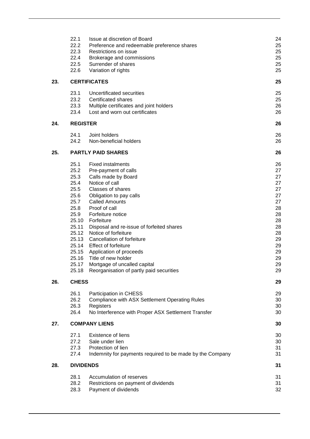|     | 22.1                                                                                                                     | Issue at discretion of Board                                                                                                                                                                                                                                                                                                                                                                                                                                                                                         | 24                                                                                                             |
|-----|--------------------------------------------------------------------------------------------------------------------------|----------------------------------------------------------------------------------------------------------------------------------------------------------------------------------------------------------------------------------------------------------------------------------------------------------------------------------------------------------------------------------------------------------------------------------------------------------------------------------------------------------------------|----------------------------------------------------------------------------------------------------------------|
|     | 22.2                                                                                                                     | Preference and redeemable preference shares                                                                                                                                                                                                                                                                                                                                                                                                                                                                          | 25                                                                                                             |
|     | 22.3                                                                                                                     | Restrictions on issue                                                                                                                                                                                                                                                                                                                                                                                                                                                                                                | 25                                                                                                             |
|     | 22.4                                                                                                                     | Brokerage and commissions                                                                                                                                                                                                                                                                                                                                                                                                                                                                                            | 25                                                                                                             |
|     | 22.5                                                                                                                     | Surrender of shares                                                                                                                                                                                                                                                                                                                                                                                                                                                                                                  | 25                                                                                                             |
|     | 22.6                                                                                                                     | Variation of rights                                                                                                                                                                                                                                                                                                                                                                                                                                                                                                  | 25                                                                                                             |
| 23. |                                                                                                                          | <b>CERTIFICATES</b>                                                                                                                                                                                                                                                                                                                                                                                                                                                                                                  | 25                                                                                                             |
|     | 23.1                                                                                                                     | Uncertificated securities                                                                                                                                                                                                                                                                                                                                                                                                                                                                                            | 25                                                                                                             |
|     | 23.2                                                                                                                     | Certificated shares                                                                                                                                                                                                                                                                                                                                                                                                                                                                                                  | 25                                                                                                             |
|     | 23.3                                                                                                                     | Multiple certificates and joint holders                                                                                                                                                                                                                                                                                                                                                                                                                                                                              | 26                                                                                                             |
|     | 23.4                                                                                                                     | Lost and worn out certificates                                                                                                                                                                                                                                                                                                                                                                                                                                                                                       | 26                                                                                                             |
| 24. | <b>REGISTER</b>                                                                                                          |                                                                                                                                                                                                                                                                                                                                                                                                                                                                                                                      | 26                                                                                                             |
|     | 24.1                                                                                                                     | Joint holders                                                                                                                                                                                                                                                                                                                                                                                                                                                                                                        | 26                                                                                                             |
|     | 24.2                                                                                                                     | Non-beneficial holders                                                                                                                                                                                                                                                                                                                                                                                                                                                                                               | 26                                                                                                             |
| 25. |                                                                                                                          | <b>PARTLY PAID SHARES</b>                                                                                                                                                                                                                                                                                                                                                                                                                                                                                            | 26                                                                                                             |
| 26. | 25.1<br>25.2<br>25.3<br>25.4<br>25.5<br>25.6<br>25.7<br>25.8<br>25.9<br>25.11<br>25.12<br>25.16<br>25.17<br><b>CHESS</b> | <b>Fixed instalments</b><br>Pre-payment of calls<br>Calls made by Board<br>Notice of call<br><b>Classes of shares</b><br>Obligation to pay calls<br><b>Called Amounts</b><br>Proof of call<br>Forfeiture notice<br>25.10 Forfeiture<br>Disposal and re-issue of forfeited shares<br>Notice of forfeiture<br>25.13 Cancellation of forfeiture<br>25.14 Effect of forfeiture<br>25.15 Application of proceeds<br>Title of new holder<br>Mortgage of uncalled capital<br>25.18 Reorganisation of partly paid securities | 26<br>27<br>27<br>27<br>27<br>27<br>27<br>28<br>28<br>28<br>28<br>28<br>29<br>29<br>29<br>29<br>29<br>29<br>29 |
|     | 26.1                                                                                                                     | Participation in CHESS                                                                                                                                                                                                                                                                                                                                                                                                                                                                                               | 29                                                                                                             |
|     | 26.2                                                                                                                     | Compliance with ASX Settlement Operating Rules                                                                                                                                                                                                                                                                                                                                                                                                                                                                       | 30                                                                                                             |
|     | 26.3                                                                                                                     | Registers                                                                                                                                                                                                                                                                                                                                                                                                                                                                                                            | 30                                                                                                             |
|     | 26.4                                                                                                                     | No Interference with Proper ASX Settlement Transfer                                                                                                                                                                                                                                                                                                                                                                                                                                                                  | 30                                                                                                             |
| 27. |                                                                                                                          | <b>COMPANY LIENS</b>                                                                                                                                                                                                                                                                                                                                                                                                                                                                                                 | 30                                                                                                             |
|     | 27.1                                                                                                                     | Existence of liens                                                                                                                                                                                                                                                                                                                                                                                                                                                                                                   | 30                                                                                                             |
|     | 27.2                                                                                                                     | Sale under lien                                                                                                                                                                                                                                                                                                                                                                                                                                                                                                      | 30                                                                                                             |
|     | 27.3                                                                                                                     | Protection of lien                                                                                                                                                                                                                                                                                                                                                                                                                                                                                                   | 31                                                                                                             |
|     | 27.4                                                                                                                     | Indemnity for payments required to be made by the Company                                                                                                                                                                                                                                                                                                                                                                                                                                                            | 31                                                                                                             |
| 28. | <b>DIVIDENDS</b>                                                                                                         |                                                                                                                                                                                                                                                                                                                                                                                                                                                                                                                      | 31                                                                                                             |
|     | 28.1                                                                                                                     | Accumulation of reserves                                                                                                                                                                                                                                                                                                                                                                                                                                                                                             | 31                                                                                                             |
|     | 28.2                                                                                                                     | Restrictions on payment of dividends                                                                                                                                                                                                                                                                                                                                                                                                                                                                                 | 31                                                                                                             |
|     | 28.3                                                                                                                     | Payment of dividends                                                                                                                                                                                                                                                                                                                                                                                                                                                                                                 | 32                                                                                                             |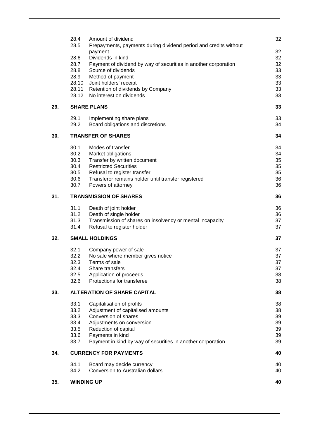|     | 28.4         | Amount of dividend                                                                     | 32       |
|-----|--------------|----------------------------------------------------------------------------------------|----------|
|     | 28.5         | Prepayments, payments during dividend period and credits without                       |          |
|     |              | payment                                                                                | 32       |
|     | 28.6<br>28.7 | Dividends in kind                                                                      | 32<br>32 |
|     | 28.8         | Payment of dividend by way of securities in another corporation<br>Source of dividends | 33       |
|     | 28.9         | Method of payment                                                                      | 33       |
|     | 28.10        | Joint holders' receipt                                                                 | 33       |
|     |              | 28.11 Retention of dividends by Company                                                | 33       |
|     |              | 28.12 No interest on dividends                                                         | 33       |
| 29. |              | <b>SHARE PLANS</b>                                                                     | 33       |
|     | 29.1         | Implementing share plans                                                               | 33       |
|     | 29.2         | Board obligations and discretions                                                      | 34       |
| 30. |              | <b>TRANSFER OF SHARES</b>                                                              | 34       |
|     | 30.1         | Modes of transfer                                                                      | 34       |
|     | 30.2         | Market obligations                                                                     | 34       |
|     | 30.3         | Transfer by written document                                                           | 35       |
|     | 30.4         | <b>Restricted Securities</b>                                                           | 35       |
|     | 30.5         | Refusal to register transfer                                                           | 35       |
|     | 30.6         | Transferor remains holder until transfer registered                                    | 36       |
|     | 30.7         | Powers of attorney                                                                     | 36       |
| 31. |              | <b>TRANSMISSION OF SHARES</b>                                                          | 36       |
|     | 31.1         | Death of joint holder                                                                  | 36       |
|     | 31.2         | Death of single holder                                                                 | 36       |
|     | 31.3         | Transmission of shares on insolvency or mental incapacity                              | 37       |
|     | 31.4         | Refusal to register holder                                                             | 37       |
| 32. |              | <b>SMALL HOLDINGS</b>                                                                  | 37       |
|     | 32.1         | Company power of sale                                                                  | 37       |
|     | 32.2         | No sale where member gives notice                                                      | 37       |
|     | 32.3         | Terms of sale                                                                          | 37       |
|     | 32.4         | Share transfers                                                                        | 37       |
|     | 32.5<br>32.6 | Application of proceeds<br>Protections for transferee                                  | 38<br>38 |
| 33. |              | <b>ALTERATION OF SHARE CAPITAL</b>                                                     | 38       |
|     | 33.1         | Capitalisation of profits                                                              | 38       |
|     | 33.2         | Adjustment of capitalised amounts                                                      | 38       |
|     | 33.3         | Conversion of shares                                                                   | 39       |
|     | 33.4         | Adjustments on conversion                                                              | 39       |
|     | 33.5         | Reduction of capital                                                                   | 39       |
|     | 33.6         | Payments in kind                                                                       | 39       |
|     | 33.7         | Payment in kind by way of securities in another corporation                            | 39       |
| 34. |              | <b>CURRENCY FOR PAYMENTS</b>                                                           | 40       |
|     | 34.1         | Board may decide currency                                                              | 40       |
|     | 34.2         | Conversion to Australian dollars                                                       | 40       |
| 35. |              | <b>WINDING UP</b>                                                                      | 40       |
|     |              |                                                                                        |          |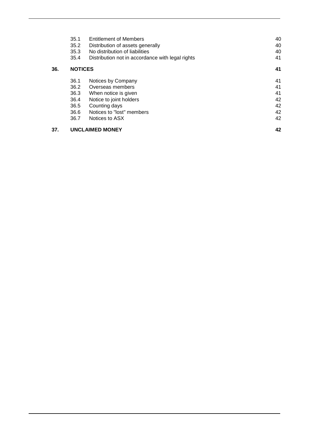|     | 35.1           | <b>Entitlement of Members</b>                    | 40 |
|-----|----------------|--------------------------------------------------|----|
|     | 35.2           | Distribution of assets generally                 | 40 |
|     | 35.3           | No distribution of liabilities                   | 40 |
|     | 35.4           | Distribution not in accordance with legal rights | 41 |
| 36. | <b>NOTICES</b> |                                                  | 41 |
|     | 36.1           | Notices by Company                               | 41 |
|     | 36.2           | Overseas members                                 | 41 |
|     | 36.3           | When notice is given                             | 41 |
|     | 36.4           | Notice to joint holders                          | 42 |
|     | 36.5           | Counting days                                    | 42 |
|     | 36.6           | Notices to "lost" members                        | 42 |
|     | 36.7           | Notices to ASX                                   | 42 |
| 37. |                | <b>UNCLAIMED MONEY</b>                           | 42 |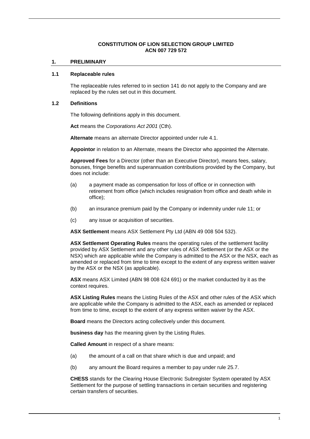# **CONSTITUTION OF LION SELECTION GROUP LIMITED ACN 007 729 572**

#### **1. PRELIMINARY**

#### **1.1 Replaceable rules**

The replaceable rules referred to in section 141 do not apply to the Company and are replaced by the rules set out in this document.

## <span id="page-7-0"></span>**1.2 Definitions**

The following definitions apply in this document.

**Act** means the *Corporations Act 2001* (Cth).

**Alternate** means an alternate Director appointed under rule [4.1.](#page-12-0)

**Appointor** in relation to an Alternate, means the Director who appointed the Alternate.

**Approved Fees** for a Director (other than an Executive Director), means fees, salary, bonuses, fringe benefits and superannuation contributions provided by the Company, but does not include:

- (a) a payment made as compensation for loss of office or in connection with retirement from office (which includes resignation from office and death while in office);
- (b) an insurance premium paid by the Company or indemnity under rule [11;](#page-18-0) or
- (c) any issue or acquisition of securities.

**ASX Settlement** means ASX Settlement Pty Ltd (ABN 49 008 504 532).

**ASX Settlement Operating Rules** means the operating rules of the settlement facility provided by ASX Settlement and any other rules of ASX Settlement (or the ASX or the NSX) which are applicable while the Company is admitted to the ASX or the NSX, each as amended or replaced from time to time except to the extent of any express written waiver by the ASX or the NSX (as applicable).

**ASX** means ASX Limited (ABN 98 008 624 691) or the market conducted by it as the context requires.

**ASX Listing Rules** means the Listing Rules of the ASX and other rules of the ASX which are applicable while the Company is admitted to the ASX, each as amended or replaced from time to time, except to the extent of any express written waiver by the ASX.

**Board** means the Directors acting collectively under this document.

**business day** has the meaning given by the Listing Rules.

**Called Amount** in respect of a share means:

- (a) the amount of a call on that share which is due and unpaid; and
- (b) any amount the Board requires a member to pay under rule [25.7.](#page-33-0)

**CHESS** stands for the Clearing House Electronic Subregister System operated by ASX Settlement for the purpose of settling transactions in certain securities and registering certain transfers of securities.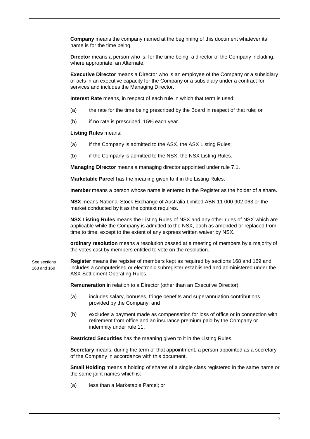**Company** means the company named at the beginning of this document whatever its name is for the time being.

**Director** means a person who is, for the time being, a director of the Company including, where appropriate, an Alternate.

**Executive Director** means a Director who is an employee of the Company or a subsidiary or acts in an executive capacity for the Company or a subsidiary under a contract for services and includes the Managing Director.

**Interest Rate** means, in respect of each rule in which that term is used:

- (a) the rate for the time being prescribed by the Board in respect of that rule; or
- (b) if no rate is prescribed, 15% each year.

**Listing Rules** means:

- (a) if the Company is admitted to the ASX, the ASX Listing Rules;
- (b) if the Company is admitted to the NSX, the NSX Listing Rules.

**Managing Director** means a managing director appointed under rule [7.1.](#page-14-0)

**Marketable Parcel** has the meaning given to it in the Listing Rules.

**member** means a person whose name is entered in the Register as the holder of a share.

**NSX** means National Stock Exchange of Australia Limited ABN 11 000 902 063 or the market conducted by it as the context requires.

**NSX Listing Rules** means the Listing Rules of NSX and any other rules of NSX which are applicable while the Company is admitted to the NSX, each as amended or replaced from time to time, except to the extent of any express written waiver by NSX.

**ordinary resolution** means a resolution passed at a meeting of members by a majority of the votes cast by members entitled to vote on the resolution.

**Register** means the register of members kept as required by sections 168 and 169 and includes a computerised or electronic subregister established and administered under the ASX Settlement Operating Rules. See sections 168 and 169

**Remuneration** in relation to a Director (other than an Executive Director):

- (a) includes salary, bonuses, fringe benefits and superannuation contributions provided by the Company; and
- (b) excludes a payment made as compensation for loss of office or in connection with retirement from office and an insurance premium paid by the Company or indemnity under rule [11.](#page-18-0)

**Restricted Securities** has the meaning given to it in the Listing Rules.

**Secretary** means, during the term of that appointment, a person appointed as a secretary of the Company in accordance with this document.

**Small Holding** means a holding of shares of a single class registered in the same name or the same joint names which is:

(a) less than a Marketable Parcel; or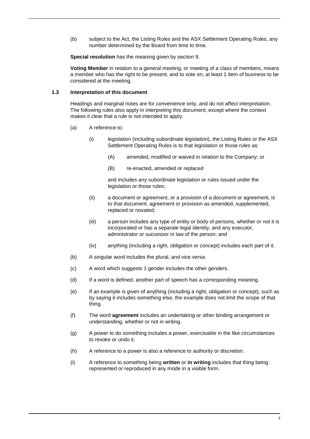(b) subject to the Act, the Listing Rules and the ASX Settlement Operating Rules, any number determined by the Board from time to time.

**Special resolution** has the meaning given by section [9.](#page-15-0)

**Voting Member** in relation to a general meeting, or meeting of a class of members, means a member who has the right to be present, and to vote on, at least 1 item of business to be considered at the meeting.

## **1.3 Interpretation of this document**

Headings and marginal notes are for convenience only, and do not affect interpretation. The following rules also apply in interpreting this document, except where the context makes it clear that a rule is not intended to apply.

- (a) A reference to:
	- (i) legislation (including subordinate legislation), the Listing Rules or the ASX Settlement Operating Rules is to that legislation or those rules as:
		- (A) amended, modified or waived in relation to the Company; or
		- (B) re-enacted, amended or replaced

and includes any subordinate legislation or rules issued under the legislation or those rules;

- (ii) a document or agreement, or a provision of a document or agreement, is to that document, agreement or provision as amended, supplemented, replaced or novated;
- (iii) a person includes any type of entity or body of persons, whether or not it is incorporated or has a separate legal identity, and any executor, administrator or successor in law of the person; and
- (iv) anything (including a right, obligation or concept) includes each part of it.
- (b) A singular word includes the plural, and vice versa.
- (c) A word which suggests 1 gender includes the other genders.
- (d) If a word is defined, another part of speech has a corresponding meaning.
- (e) If an example is given of anything (including a right, obligation or concept), such as by saying it includes something else, the example does not limit the scope of that thing.
- (f) The word **agreement** includes an undertaking or other binding arrangement or understanding, whether or not in writing.
- (g) A power to do something includes a power, exercisable in the like circumstances to revoke or undo it.
- (h) A reference to a power is also a reference to authority or discretion.
- (i) A reference to something being **written** or **in writing** includes that thing being represented or reproduced in any mode in a visible form.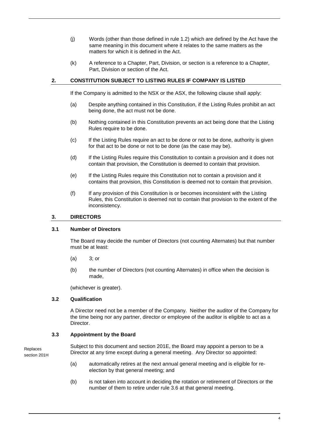- (j) Words (other than those defined in rule [1.2\)](#page-7-0) which are defined by the Act have the same meaning in this document where it relates to the same matters as the matters for which it is defined in the Act.
- (k) A reference to a Chapter, Part, Division, or section is a reference to a Chapter, Part, Division or section of the Act.

# **2. CONSTITUTION SUBJECT TO LISTING RULES IF COMPANY IS LISTED**

If the Company is admitted to the NSX or the ASX, the following clause shall apply:

- (a) Despite anything contained in this Constitution, if the Listing Rules prohibit an act being done, the act must not be done.
- (b) Nothing contained in this Constitution prevents an act being done that the Listing Rules require to be done.
- (c) If the Listing Rules require an act to be done or not to be done, authority is given for that act to be done or not to be done (as the case may be).
- (d) If the Listing Rules require this Constitution to contain a provision and it does not contain that provision, the Constitution is deemed to contain that provision.
- (e) If the Listing Rules require this Constitution not to contain a provision and it contains that provision, this Constitution is deemed not to contain that provision.
- (f) If any provision of this Constitution is or becomes inconsistent with the Listing Rules, this Constitution is deemed not to contain that provision to the extent of the inconsistency.

## **3. DIRECTORS**

#### <span id="page-10-2"></span>**3.1 Number of Directors**

The Board may decide the number of Directors (not counting Alternates) but that number must be at least:

- (a) 3; or
- (b) the number of Directors (not counting Alternates) in office when the decision is made,

(whichever is greater).

# <span id="page-10-1"></span>**3.2 Qualification**

A Director need not be a member of the Company. Neither the auditor of the Company for the time being nor any partner, director or employee of the auditor is eligible to act as a Director.

# <span id="page-10-0"></span>**3.3 Appointment by the Board**

Replaces section 201H Subject to this document and section 201E, the Board may appoint a person to be a Director at any time except during a general meeting. Any Director so appointed:

- (a) automatically retires at the next annual general meeting and is eligible for reelection by that general meeting; and
- (b) is not taken into account in deciding the rotation or retirement of Directors or the number of them to retire under rule [3.6](#page-11-0) at that general meeting.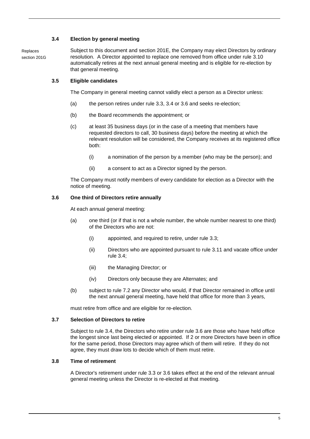# <span id="page-11-1"></span>**3.4 Election by general meeting**

Replaces section 201G Subject to this document and section 201E, the Company may elect Directors by ordinary resolution. A Director appointed to replace one removed from office under rule [3.10](#page-12-1) automatically retires at the next annual general meeting and is eligible for re-election by that general meeting.

# **3.5 Eligible candidates**

The Company in general meeting cannot validly elect a person as a Director unless:

- (a) the person retires under rule [3.3,](#page-10-0) [3.4](#page-11-1) or [3.6](#page-11-0) and seeks re-election;
- (b) the Board recommends the appointment; or
- (c) at least 35 business days (or in the case of a meeting that members have requested directors to call, 30 business days) before the meeting at which the relevant resolution will be considered, the Company receives at its registered office both:
	- (i) a nomination of the person by a member (who may be the person); and
	- (ii) a consent to act as a Director signed by the person.

The Company must notify members of every candidate for election as a Director with the notice of meeting.

# <span id="page-11-0"></span>**3.6 One third of Directors retire annually**

At each annual general meeting:

- (a) one third (or if that is not a whole number, the whole number nearest to one third) of the Directors who are not:
	- (i) appointed, and required to retire, under rule [3.3;](#page-10-0)
	- (ii) Directors who are appointed pursuant to rule [3.11](#page-12-2) and vacate office under rule [3.4;](#page-11-1)
	- (iii) the Managing Director; or
	- (iv) Directors only because they are Alternates; and
- (b) subject to rule [7.2](#page-14-1) any Director who would, if that Director remained in office until the next annual general meeting, have held that office for more than 3 years,

must retire from office and are eligible for re-election.

# **3.7 Selection of Directors to retire**

Subject to rule [3.4,](#page-11-1) the Directors who retire under rule [3.6](#page-11-0) are those who have held office the longest since last being elected or appointed. If 2 or more Directors have been in office for the same period, those Directors may agree which of them will retire. If they do not agree, they must draw lots to decide which of them must retire.

# **3.8 Time of retirement**

A Director's retirement under rule [3.3](#page-10-0) or [3.6](#page-11-0) takes effect at the end of the relevant annual general meeting unless the Director is re-elected at that meeting.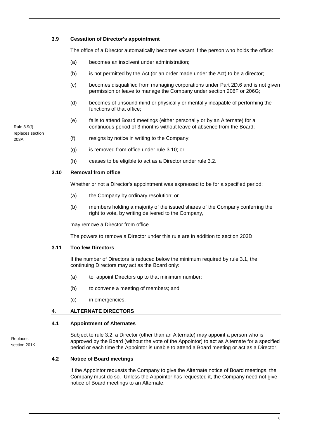## <span id="page-12-3"></span>**3.9 Cessation of Director's appointment**

The office of a Director automatically becomes vacant if the person who holds the office:

- (a) becomes an insolvent under administration;
- (b) is not permitted by the Act (or an order made under the Act) to be a director;
- (c) becomes disqualified from managing corporations under Part 2D.6 and is not given permission or leave to manage the Company under section 206F or 206G;
- (d) becomes of unsound mind or physically or mentally incapable of performing the functions of that office;
- (e) fails to attend Board meetings (either personally or by an Alternate) for a continuous period of 3 months without leave of absence from the Board;

Rule 3.9(f) replaces section 203A

- (f) resigns by notice in writing to the Company;
- (g) is removed from office under rule [3.10;](#page-12-1) or
- (h) ceases to be eligible to act as a Director under rule [3.2.](#page-10-1)

#### <span id="page-12-1"></span>**3.10 Removal from office**

Whether or not a Director's appointment was expressed to be for a specified period:

- (a) the Company by ordinary resolution; or
- (b) members holding a majority of the issued shares of the Company conferring the right to vote, by writing delivered to the Company,

may remove a Director from office.

The powers to remove a Director under this rule are in addition to section 203D.

#### <span id="page-12-2"></span>**3.11 Too few Directors**

If the number of Directors is reduced below the minimum required by rule [3.1,](#page-10-2) the continuing Directors may act as the Board only:

- (a) to appoint Directors up to that minimum number;
- (b) to convene a meeting of members; and
- (c) in emergencies.

#### <span id="page-12-0"></span>**4. ALTERNATE DIRECTORS**

#### **4.1 Appointment of Alternates**

Replaces section 201K Subject to rule [3.2,](#page-10-1) a Director (other than an Alternate) may appoint a person who is approved by the Board (without the vote of the Appointor) to act as Alternate for a specified period or each time the Appointor is unable to attend a Board meeting or act as a Director.

#### **4.2 Notice of Board meetings**

If the Appointor requests the Company to give the Alternate notice of Board meetings, the Company must do so. Unless the Appointor has requested it, the Company need not give notice of Board meetings to an Alternate.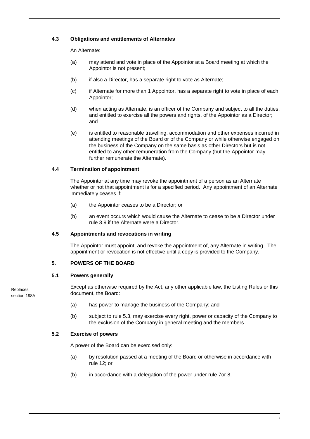# **4.3 Obligations and entitlements of Alternates**

An Alternate:

- (a) may attend and vote in place of the Appointor at a Board meeting at which the Appointor is not present;
- (b) if also a Director, has a separate right to vote as Alternate;
- (c) if Alternate for more than 1 Appointor, has a separate right to vote in place of each Appointor;
- (d) when acting as Alternate, is an officer of the Company and subject to all the duties, and entitled to exercise all the powers and rights, of the Appointor as a Director; and
- (e) is entitled to reasonable travelling, accommodation and other expenses incurred in attending meetings of the Board or of the Company or while otherwise engaged on the business of the Company on the same basis as other Directors but is not entitled to any other remuneration from the Company (but the Appointor may further remunerate the Alternate).

## **4.4 Termination of appointment**

The Appointor at any time may revoke the appointment of a person as an Alternate whether or not that appointment is for a specified period. Any appointment of an Alternate immediately ceases if:

- (a) the Appointor ceases to be a Director; or
- (b) an event occurs which would cause the Alternate to cease to be a Director under rule [3.9](#page-12-3) if the Alternate were a Director.

#### **4.5 Appointments and revocations in writing**

The Appointor must appoint, and revoke the appointment of, any Alternate in writing. The appointment or revocation is not effective until a copy is provided to the Company.

# **5. POWERS OF THE BOARD**

#### **5.1 Powers generally**

Replaces section 198A Except as otherwise required by the Act, any other applicable law, the Listing Rules or this document, the Board:

- (a) has power to manage the business of the Company; and
- (b) subject to rule [5.3,](#page-14-2) may exercise every right, power or capacity of the Company to the exclusion of the Company in general meeting and the members.

# **5.2 Exercise of powers**

A power of the Board can be exercised only:

- (a) by resolution passed at a meeting of the Board or otherwise in accordance with rule [12;](#page-18-1) or
- (b) in accordance with a delegation of the power under rule [7o](#page-14-3)r [8.](#page-15-1)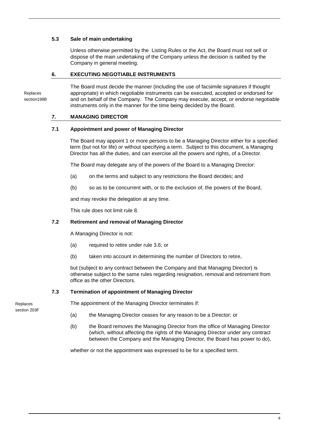# <span id="page-14-2"></span>**5.3 Sale of main undertaking**

Unless otherwise permitted by the Listing Rules or the Act, the Board must not sell or dispose of the main undertaking of the Company unless the decision is ratified by the Company in general meeting.

# **6. EXECUTING NEGOTIABLE INSTRUMENTS**

Replaces section198B The Board must decide the manner (including the use of facsimile signatures if thought appropriate) in which negotiable instruments can be executed, accepted or endorsed for and on behalf of the Company. The Company may execute, accept, or endorse negotiable instruments only in the manner for the time being decided by the Board.

# <span id="page-14-3"></span>**7. MANAGING DIRECTOR**

## <span id="page-14-0"></span>**7.1 Appointment and power of Managing Director**

The Board may appoint 1 or more persons to be a Managing Director either for a specified term (but not for life) or without specifying a term. Subject to this document, a Managing Director has all the duties, and can exercise all the powers and rights, of a Director.

The Board may delegate any of the powers of the Board to a Managing Director:

- (a) on the terms and subject to any restrictions the Board decides; and
- (b) so as to be concurrent with, or to the exclusion of, the powers of the Board,

and may revoke the delegation at any time.

This rule does not limit rule [8.](#page-15-1)

# <span id="page-14-1"></span>**7.2 Retirement and removal of Managing Director**

A Managing Director is not:

- (a) required to retire under rule [3.6;](#page-11-0) or
- (b) taken into account in determining the number of Directors to retire,

but (subject to any contract between the Company and that Managing Director) is otherwise subject to the same rules regarding resignation, removal and retirement from office as the other Directors.

# **7.3 Termination of appointment of Managing Director**

Replaces section 203F

- The appointment of the Managing Director terminates if:
- (a) the Managing Director ceases for any reason to be a Director; or
- (b) the Board removes the Managing Director from the office of Managing Director (which, without affecting the rights of the Managing Director under any contract between the Company and the Managing Director, the Board has power to do),

whether or not the appointment was expressed to be for a specified term.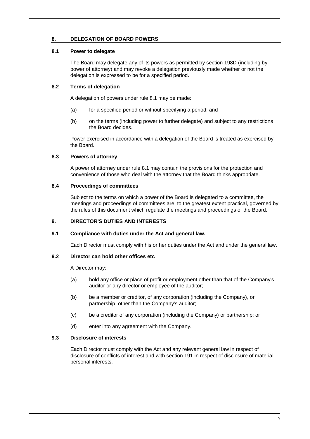# <span id="page-15-1"></span>**8. DELEGATION OF BOARD POWERS**

# <span id="page-15-2"></span>**8.1 Power to delegate**

The Board may delegate any of its powers as permitted by section 198D (including by power of attorney) and may revoke a delegation previously made whether or not the delegation is expressed to be for a specified period.

# **8.2 Terms of delegation**

A delegation of powers under rule [8.1](#page-15-2) may be made:

- (a) for a specified period or without specifying a period; and
- (b) on the terms (including power to further delegate) and subject to any restrictions the Board decides.

Power exercised in accordance with a delegation of the Board is treated as exercised by the Board.

# **8.3 Powers of attorney**

A power of attorney under rule [8.1](#page-15-2) may contain the provisions for the protection and convenience of those who deal with the attorney that the Board thinks appropriate.

## **8.4 Proceedings of committees**

Subject to the terms on which a power of the Board is delegated to a committee, the meetings and proceedings of committees are, to the greatest extent practical, governed by the rules of this document which regulate the meetings and proceedings of the Board.

# <span id="page-15-0"></span>**9. DIRECTOR'S DUTIES AND INTERESTS**

# **9.1 Compliance with duties under the Act and general law.**

Each Director must comply with his or her duties under the Act and under the general law.

## **9.2 Director can hold other offices etc**

A Director may:

- (a) hold any office or place of profit or employment other than that of the Company's auditor or any director or employee of the auditor;
- (b) be a member or creditor, of any corporation (including the Company), or partnership, other than the Company's auditor;
- (c) be a creditor of any corporation (including the Company) or partnership; or
- (d) enter into any agreement with the Company.

## <span id="page-15-3"></span>**9.3 Disclosure of interests**

Each Director must comply with the Act and any relevant general law in respect of disclosure of conflicts of interest and with section 191 in respect of disclosure of material personal interests.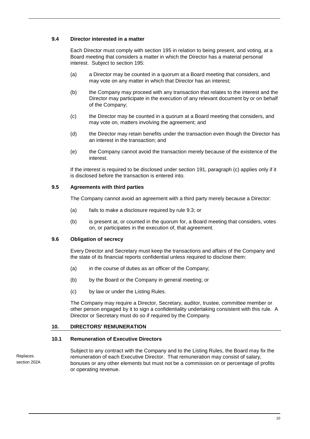# **9.4 Director interested in a matter**

Each Director must comply with section 195 in relation to being present, and voting, at a Board meeting that considers a matter in which the Director has a material personal interest. Subject to section 195:

- (a) a Director may be counted in a quorum at a Board meeting that considers, and may vote on any matter in which that Director has an interest;
- (b) the Company may proceed with any transaction that relates to the interest and the Director may participate in the execution of any relevant document by or on behalf of the Company;
- (c) the Director may be counted in a quorum at a Board meeting that considers, and may vote on, matters involving the agreement; and
- (d) the Director may retain benefits under the transaction even though the Director has an interest in the transaction; and
- (e) the Company cannot avoid the transaction merely because of the existence of the interest.

If the interest is required to be disclosed under section 191, paragraph (c) applies only if it is disclosed before the transaction is entered into.

# **9.5 Agreements with third parties**

The Company cannot avoid an agreement with a third party merely because a Director:

- (a) fails to make a disclosure required by rule [9.3;](#page-15-3) or
- (b) is present at, or counted in the quorum for, a Board meeting that considers, votes on, or participates in the execution of, that agreement.

# **9.6 Obligation of secrecy**

Every Director and Secretary must keep the transactions and affairs of the Company and the state of its financial reports confidential unless required to disclose them:

- (a) in the course of duties as an officer of the Company;
- (b) by the Board or the Company in general meeting; or
- (c) by law or under the Listing Rules.

The Company may require a Director, Secretary, auditor, trustee, committee member or other person engaged by it to sign a confidentiality undertaking consistent with this rule. A Director or Secretary must do so if required by the Company.

#### **10. DIRECTORS' REMUNERATION**

## <span id="page-16-0"></span>**10.1 Remuneration of Executive Directors**

Replaces section 202A Subject to any contract with the Company and to the Listing Rules, the Board may fix the remuneration of each Executive Director. That remuneration may consist of salary, bonuses or any other elements but must not be a commission on or percentage of profits or operating revenue.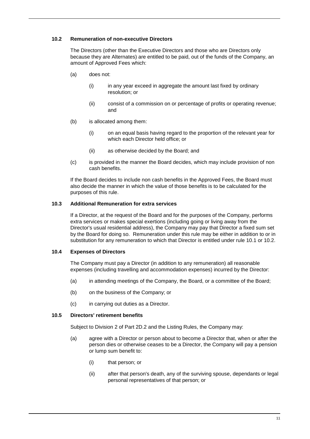# <span id="page-17-0"></span>**10.2 Remuneration of non-executive Directors**

The Directors (other than the Executive Directors and those who are Directors only because they are Alternates) are entitled to be paid, out of the funds of the Company, an amount of Approved Fees which:

- (a) does not:
	- (i) in any year exceed in aggregate the amount last fixed by ordinary resolution; or
	- (ii) consist of a commission on or percentage of profits or operating revenue; and
- (b) is allocated among them:
	- (i) on an equal basis having regard to the proportion of the relevant year for which each Director held office; or
	- (ii) as otherwise decided by the Board; and
- (c) is provided in the manner the Board decides, which may include provision of non cash benefits.

If the Board decides to include non cash benefits in the Approved Fees, the Board must also decide the manner in which the value of those benefits is to be calculated for the purposes of this rule.

# **10.3 Additional Remuneration for extra services**

If a Director, at the request of the Board and for the purposes of the Company, performs extra services or makes special exertions (including going or living away from the Director's usual residential address), the Company may pay that Director a fixed sum set by the Board for doing so. Remuneration under this rule may be either in addition to or in substitution for any remuneration to which that Director is entitled under rule [10.1](#page-16-0) or [10.2.](#page-17-0)

# **10.4 Expenses of Directors**

The Company must pay a Director (in addition to any remuneration) all reasonable expenses (including travelling and accommodation expenses) incurred by the Director:

- (a) in attending meetings of the Company, the Board, or a committee of the Board;
- (b) on the business of the Company; or
- (c) in carrying out duties as a Director.

#### **10.5 Directors' retirement benefits**

Subject to Division 2 of Part 2D.2 and the Listing Rules, the Company may:

- (a) agree with a Director or person about to become a Director that, when or after the person dies or otherwise ceases to be a Director, the Company will pay a pension or lump sum benefit to:
	- (i) that person; or
	- (ii) after that person's death, any of the surviving spouse, dependants or legal personal representatives of that person; or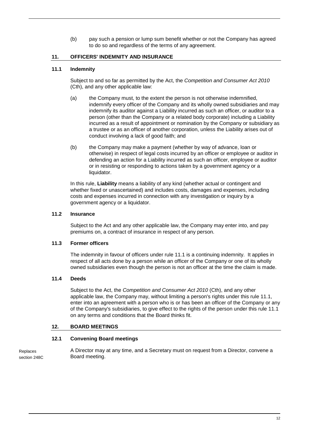(b) pay such a pension or lump sum benefit whether or not the Company has agreed to do so and regardless of the terms of any agreement.

# <span id="page-18-0"></span>**11. OFFICERS' INDEMNITY AND INSURANCE**

# <span id="page-18-2"></span>**11.1 Indemnity**

Subject to and so far as permitted by the Act, the *Competition and Consumer Act 2010*  (Cth), and any other applicable law:

- (a) the Company must, to the extent the person is not otherwise indemnified, indemnify every officer of the Company and its wholly owned subsidiaries and may indemnify its auditor against a Liability incurred as such an officer, or auditor to a person (other than the Company or a related body corporate) including a Liability incurred as a result of appointment or nomination by the Company or subsidiary as a trustee or as an officer of another corporation, unless the Liability arises out of conduct involving a lack of good faith; and
- (b) the Company may make a payment (whether by way of advance, loan or otherwise) in respect of legal costs incurred by an officer or employee or auditor in defending an action for a Liability incurred as such an officer, employee or auditor or in resisting or responding to actions taken by a government agency or a liquidator.

In this rule, **Liability** means a liability of any kind (whether actual or contingent and whether fixed or unascertained) and includes costs, damages and expenses, including costs and expenses incurred in connection with any investigation or inquiry by a government agency or a liquidator.

# **11.2 Insurance**

Subject to the Act and any other applicable law, the Company may enter into, and pay premiums on, a contract of insurance in respect of any person.

# **11.3 Former officers**

The indemnity in favour of officers under rule [11.1](#page-18-2) is a continuing indemnity. It applies in respect of all acts done by a person while an officer of the Company or one of its wholly owned subsidiaries even though the person is not an officer at the time the claim is made.

# **11.4 Deeds**

Subject to the Act, the *Competition and Consumer Act 2010* (Cth), and any other applicable law, the Company may, without limiting a person's rights under this rule [11.1,](#page-18-2) enter into an agreement with a person who is or has been an officer of the Company or any of the Company's subsidiaries, to give effect to the rights of the person under this rule [11.1](#page-18-2) on any terms and conditions that the Board thinks fit.

# <span id="page-18-1"></span>**12. BOARD MEETINGS**

#### **12.1 Convening Board meetings**

A Director may at any time, and a Secretary must on request from a Director, convene a Board meeting. Replaces section 248C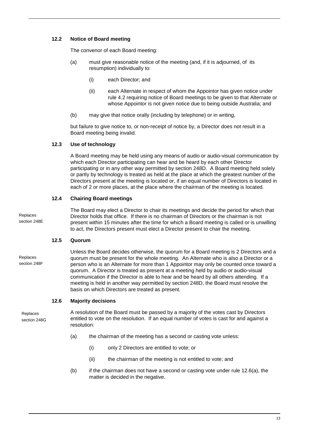# **12.2 Notice of Board meeting**

The convenor of each Board meeting:

- (a) must give reasonable notice of the meeting (and, if it is adjourned, of its resumption) individually to:
	- (i) each Director; and
	- (ii) each Alternate in respect of whom the Appointor has given notice under rule 4.2 requiring notice of Board meetings to be given to that Alternate or whose Appointor is not given notice due to being outside Australia; and
- (b) may give that notice orally (including by telephone) or in writing,

but failure to give notice to, or non-receipt of notice by, a Director does not result in a Board meeting being invalid.

# **12.3 Use of technology**

A Board meeting may be held using any means of audio or audio-visual communication by which each Director participating can hear and be heard by each other Director participating or in any other way permitted by section 248D. A Board meeting held solely or partly by technology is treated as held at the place at which the greatest number of the Directors present at the meeting is located or, if an equal number of Directors is located in each of 2 or more places, at the place where the chairman of the meeting is located.

# **12.4 Chairing Board meetings**

Replaces section 248E The Board may elect a Director to chair its meetings and decide the period for which that Director holds that office. If there is no chairman of Directors or the chairman is not present within 15 minutes after the time for which a Board meeting is called or is unwilling to act, the Directors present must elect a Director present to chair the meeting.

#### **12.5 Quorum**

Replaces section 248F Unless the Board decides otherwise, the quorum for a Board meeting is 2 Directors and a quorum must be present for the whole meeting. An Alternate who is also a Director or a person who is an Alternate for more than 1 Appointor may only be counted once toward a quorum. A Director is treated as present at a meeting held by audio or audio-visual communication if the Director is able to hear and be heard by all others attending. If a meeting is held in another way permitted by section 248D, the Board must resolve the basis on which Directors are treated as present.

## **12.6 Majority decisions**

Replaces section 248G A resolution of the Board must be passed by a majority of the votes cast by Directors entitled to vote on the resolution. If an equal number of votes is cast for and against a resolution:

- <span id="page-19-0"></span>(a) the chairman of the meeting has a second or casting vote unless:
	- (i) only 2 Directors are entitled to vote; or
	- (ii) the chairman of the meeting is not entitled to vote; and
- (b) if the chairman does not have a second or casting vote under rule [12.6\(a\),](#page-19-0) the matter is decided in the negative.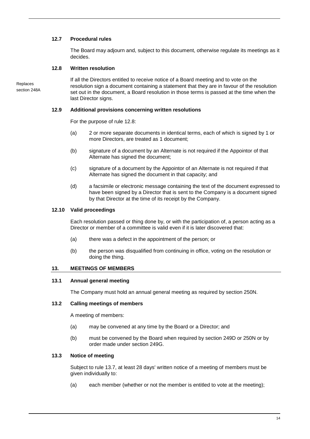# **12.7 Procedural rules**

The Board may adjourn and, subject to this document, otherwise regulate its meetings as it decides.

# <span id="page-20-0"></span>**12.8 Written resolution**

Replaces section 248A If all the Directors entitled to receive notice of a Board meeting and to vote on the resolution sign a document containing a statement that they are in favour of the resolution set out in the document, a Board resolution in those terms is passed at the time when the last Director signs.

#### **12.9 Additional provisions concerning written resolutions**

For the purpose of rule [12.8:](#page-20-0)

- (a) 2 or more separate documents in identical terms, each of which is signed by 1 or more Directors, are treated as 1 document;
- (b) signature of a document by an Alternate is not required if the Appointor of that Alternate has signed the document;
- (c) signature of a document by the Appointor of an Alternate is not required if that Alternate has signed the document in that capacity; and
- (d) a facsimile or electronic message containing the text of the document expressed to have been signed by a Director that is sent to the Company is a document signed by that Director at the time of its receipt by the Company.

#### **12.10 Valid proceedings**

Each resolution passed or thing done by, or with the participation of, a person acting as a Director or member of a committee is valid even if it is later discovered that:

- (a) there was a defect in the appointment of the person; or
- (b) the person was disqualified from continuing in office, voting on the resolution or doing the thing.

# <span id="page-20-1"></span>**13. MEETINGS OF MEMBERS**

#### **13.1 Annual general meeting**

The Company must hold an annual general meeting as required by section 250N.

#### **13.2 Calling meetings of members**

A meeting of members:

- (a) may be convened at any time by the Board or a Director; and
- (b) must be convened by the Board when required by section 249D or 250N or by order made under section 249G.

#### **13.3 Notice of meeting**

Subject to rule [13.7,](#page-21-0) at least 28 days' written notice of a meeting of members must be given individually to:

(a) each member (whether or not the member is entitled to vote at the meeting);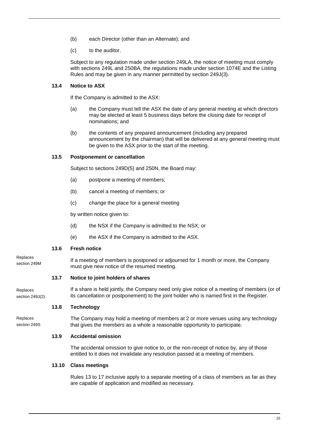- (b) each Director (other than an Alternate); and
- (c) to the auditor.

Subject to any regulation made under section 249LA, the notice of meeting must comply with sections 249L and 250BA, the regulations made under section 1074E and the Listing Rules and may be given in any manner permitted by section 249J(3).

# **13.4 Notice to ASX**

If the Company is admitted to the ASX:

- (a) the Company must tell the ASX the date of any general meeting at which directors may be elected at least 5 business days before the closing date for receipt of nominations; and
- (b) the contents of any prepared announcement (including any prepared announcement by the chairman) that will be delivered at any general meeting must be given to the ASX prior to the start of the meeting.

## **13.5 Postponement or cancellation**

Subject to sections 249D(5) and 250N, the Board may:

- (a) postpone a meeting of members;
- (b) cancel a meeting of members; or
- (c) change the place for a general meeting

by written notice given to:

- (d) the NSX if the Company is admitted to the NSX; or
- (e) the ASX if the Company is admitted to the ASX.

#### <span id="page-21-2"></span>**13.6 Fresh notice**

Replaces section 249M

If a meeting of members is postponed or adjourned for 1 month or more, the Company must give new notice of the resumed meeting.

#### <span id="page-21-0"></span>**13.7 Notice to joint holders of shares**

Replaces section 249J(2) If a share is held jointly, the Company need only give notice of a meeting of members (or of its cancellation or postponement) to the joint holder who is named first in the Register.

# <span id="page-21-1"></span>**13.8 Technology**

Replaces section 249S The Company may hold a meeting of members at 2 or more venues using any technology that gives the members as a whole a reasonable opportunity to participate.

# **13.9 Accidental omission**

The accidental omission to give notice to, or the non-receipt of notice by, any of those entitled to it does not invalidate any resolution passed at a meeting of members.

#### **13.10 Class meetings**

Rules [13](#page-20-1) to [17](#page-27-0) inclusive apply to a separate meeting of a class of members as far as they are capable of application and modified as necessary.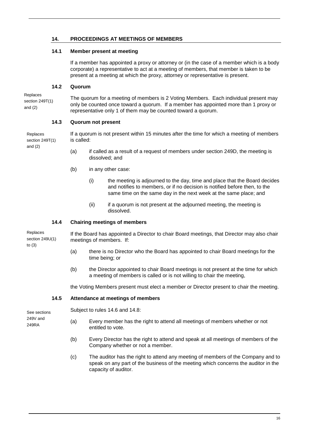# **14. PROCEEDINGS AT MEETINGS OF MEMBERS**

# **14.1 Member present at meeting**

If a member has appointed a proxy or attorney or (in the case of a member which is a body corporate) a representative to act at a meeting of members, that member is taken to be present at a meeting at which the proxy, attorney or representative is present.

## **14.2 Quorum**

Replaces section 249T(1) and (2)

and (2)

The quorum for a meeting of members is 2 Voting Members. Each individual present may only be counted once toward a quorum. If a member has appointed more than 1 proxy or representative only 1 of them may be counted toward a quorum.

## **14.3 Quorum not present**

If a quorum is not present within 15 minutes after the time for which a meeting of members is called: Replaces section 249T(1)

- (a) if called as a result of a request of members under section 249D, the meeting is dissolved; and
- (b) in any other case:
	- (i) the meeting is adjourned to the day, time and place that the Board decides and notifies to members, or if no decision is notified before then, to the same time on the same day in the next week at the same place; and
	- (ii) if a quorum is not present at the adjourned meeting, the meeting is dissolved.

# **14.4 Chairing meetings of members**

If the Board has appointed a Director to chair Board meetings, that Director may also chair meetings of members. If: Replaces section 249U(1)

- (a) there is no Director who the Board has appointed to chair Board meetings for the time being; or
- (b) the Director appointed to chair Board meetings is not present at the time for which a meeting of members is called or is not willing to chair the meeting,

the Voting Members present must elect a member or Director present to chair the meeting.

#### **14.5 Attendance at meetings of members**

See sections 249V and 249RA

to (3)

Subject to rules [14.6](#page-23-0) and [14.8:](#page-23-1)

- (a) Every member has the right to attend all meetings of members whether or not entitled to vote.
- (b) Every Director has the right to attend and speak at all meetings of members of the Company whether or not a member.
- (c) The auditor has the right to attend any meeting of members of the Company and to speak on any part of the business of the meeting which concerns the auditor in the capacity of auditor.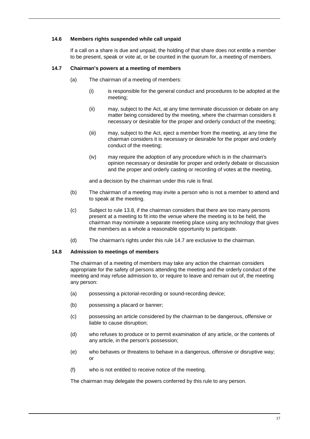## <span id="page-23-0"></span>**14.6 Members rights suspended while call unpaid**

If a call on a share is due and unpaid, the holding of that share does not entitle a member to be present, speak or vote at, or be counted in the quorum for, a meeting of members.

## <span id="page-23-2"></span>**14.7 Chairman's powers at a meeting of members**

- (a) The chairman of a meeting of members:
	- (i) is responsible for the general conduct and procedures to be adopted at the meeting;
	- (ii) may, subject to the Act, at any time terminate discussion or debate on any matter being considered by the meeting, where the chairman considers it necessary or desirable for the proper and orderly conduct of the meeting;
	- (iii) may, subject to the Act, eject a member from the meeting, at any time the chairman considers it is necessary or desirable for the proper and orderly conduct of the meeting;
	- (iv) may require the adoption of any procedure which is in the chairman's opinion necessary or desirable for proper and orderly debate or discussion and the proper and orderly casting or recording of votes at the meeting,

and a decision by the chairman under this rule is final.

- (b) The chairman of a meeting may invite a person who is not a member to attend and to speak at the meeting.
- (c) Subject to rule [13.8,](#page-21-1) if the chairman considers that there are too many persons present at a meeting to fit into the venue where the meeting is to be held, the chairman may nominate a separate meeting place using any technology that gives the members as a whole a reasonable opportunity to participate.
- (d) The chairman's rights under this rule [14.7](#page-23-2) are exclusive to the chairman.

#### <span id="page-23-1"></span>**14.8 Admission to meetings of members**

The chairman of a meeting of members may take any action the chairman considers appropriate for the safety of persons attending the meeting and the orderly conduct of the meeting and may refuse admission to, or require to leave and remain out of, the meeting any person:

- (a) possessing a pictorial-recording or sound-recording device;
- (b) possessing a placard or banner;
- (c) possessing an article considered by the chairman to be dangerous, offensive or liable to cause disruption;
- (d) who refuses to produce or to permit examination of any article, or the contents of any article, in the person's possession;
- (e) who behaves or threatens to behave in a dangerous, offensive or disruptive way; or
- (f) who is not entitled to receive notice of the meeting.

The chairman may delegate the powers conferred by this rule to any person.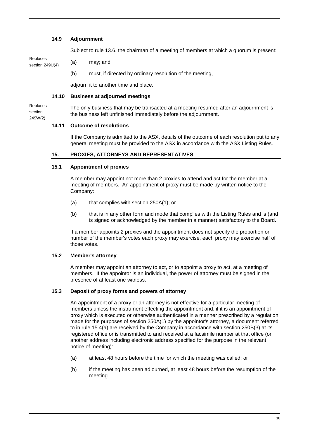## **14.9 Adjournment**

Subject to rule [13.6,](#page-21-2) the chairman of a meeting of members at which a quorum is present:

Replaces section 249U(4)

- (a) may; and
- (b) must, if directed by ordinary resolution of the meeting,

adjourn it to another time and place.

## **14.10 Business at adjourned meetings**

The only business that may be transacted at a meeting resumed after an adjournment is the business left unfinished immediately before the adjournment. Replaces section 249W(2)

## **14.11 Outcome of resolutions**

If the Company is admitted to the ASX, details of the outcome of each resolution put to any general meeting must be provided to the ASX in accordance with the ASX Listing Rules.

## <span id="page-24-0"></span>**15. PROXIES, ATTORNEYS AND REPRESENTATIVES**

#### **15.1 Appointment of proxies**

A member may appoint not more than 2 proxies to attend and act for the member at a meeting of members. An appointment of proxy must be made by written notice to the Company:

- (a) that complies with section 250A(1); or
- (b) that is in any other form and mode that complies with the Listing Rules and is (and is signed or acknowledged by the member in a manner) satisfactory to the Board.

If a member appoints 2 proxies and the appointment does not specify the proportion or number of the member's votes each proxy may exercise, each proxy may exercise half of those votes.

## **15.2 Member's attorney**

A member may appoint an attorney to act, or to appoint a proxy to act, at a meeting of members. If the appointor is an individual, the power of attorney must be signed in the presence of at least one witness.

#### **15.3 Deposit of proxy forms and powers of attorney**

An appointment of a proxy or an attorney is not effective for a particular meeting of members unless the instrument effecting the appointment and, if it is an appointment of proxy which is executed or otherwise authenticated in a manner prescribed by a regulation made for the purposes of section 250A(1) by the appointor's attorney, a document referred to in rule [15.4\(a\)](#page-25-0) are received by the Company in accordance with section 250B(3) at its registered office or is transmitted to and received at a facsimile number at that office (or another address including electronic address specified for the purpose in the relevant notice of meeting):

- (a) at least 48 hours before the time for which the meeting was called; or
- (b) if the meeting has been adjourned, at least 48 hours before the resumption of the meeting.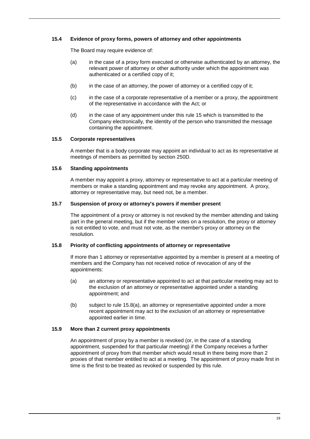# <span id="page-25-0"></span>**15.4 Evidence of proxy forms, powers of attorney and other appointments**

The Board may require evidence of:

- (a) in the case of a proxy form executed or otherwise authenticated by an attorney, the relevant power of attorney or other authority under which the appointment was authenticated or a certified copy of it;
- (b) in the case of an attorney, the power of attorney or a certified copy of it;
- (c) in the case of a corporate representative of a member or a proxy, the appointment of the representative in accordance with the Act; or
- (d) in the case of any appointment under this rule 15 which is transmitted to the Company electronically, the identity of the person who transmitted the message containing the appointment.

## **15.5 Corporate representatives**

A member that is a body corporate may appoint an individual to act as its representative at meetings of members as permitted by section 250D.

# **15.6 Standing appointments**

A member may appoint a proxy, attorney or representative to act at a particular meeting of members or make a standing appointment and may revoke any appointment. A proxy, attorney or representative may, but need not, be a member.

## **15.7 Suspension of proxy or attorney's powers if member present**

The appointment of a proxy or attorney is not revoked by the member attending and taking part in the general meeting, but if the member votes on a resolution, the proxy or attorney is not entitled to vote, and must not vote, as the member's proxy or attorney on the resolution.

# **15.8 Priority of conflicting appointments of attorney or representative**

If more than 1 attorney or representative appointed by a member is present at a meeting of members and the Company has not received notice of revocation of any of the appointments:

- <span id="page-25-1"></span>(a) an attorney or representative appointed to act at that particular meeting may act to the exclusion of an attorney or representative appointed under a standing appointment; and
- (b) subject to rule [15.8\(a\),](#page-25-1) an attorney or representative appointed under a more recent appointment may act to the exclusion of an attorney or representative appointed earlier in time.

# **15.9 More than 2 current proxy appointments**

An appointment of proxy by a member is revoked (or, in the case of a standing appointment, suspended for that particular meeting) if the Company receives a further appointment of proxy from that member which would result in there being more than 2 proxies of that member entitled to act at a meeting. The appointment of proxy made first in time is the first to be treated as revoked or suspended by this rule.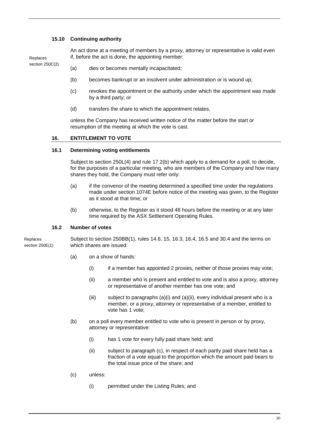## **15.10 Continuing authority**

Replaces section 250C(2) An act done at a meeting of members by a proxy, attorney or representative is valid even if, before the act is done, the appointing member:

- (a) dies or becomes mentally incapacitated;
- (b) becomes bankrupt or an insolvent under administration or is wound up;
- (c) revokes the appointment or the authority under which the appointment was made by a third party; or
- (d) transfers the share to which the appointment relates,

unless the Company has received written notice of the matter before the start or resumption of the meeting at which the vote is cast.

#### **16. ENTITLEMENT TO VOTE**

#### **16.1 Determining voting entitlements**

Subject to section 250L(4) and rule [17.2\(b\)](#page-28-0) which apply to a demand for a poll, to decide, for the purposes of a particular meeting, who are members of the Company and how many shares they hold, the Company must refer only:

- (a) if the convenor of the meeting determined a specified time under the regulations made under section 1074E before notice of the meeting was given, to the Register as it stood at that time; or
- (b) otherwise, to the Register as it stood 48 hours before the meeting or at any later time required by the ASX Settlement Operating Rules.

## **16.2 Number of votes**

**Replaces** section 250E(1)

Subject to section 250BB(1), rules [14.6,](#page-23-0) [15,](#page-24-0) [16.3,](#page-27-1) [16.4,](#page-27-2) [16.5](#page-27-3) and [30.4](#page-41-0) and the terms on which shares are issued:

- (a) on a show of hands:
	- (i) if a member has appointed 2 proxies, neither of those proxies may vote;
	- (ii) a member who is present and entitled to vote and is also a proxy, attorney or representative of another member has one vote; and
	- (iii) subject to paragraphs (a)(i) and (a)(ii), every individual present who is a member, or a proxy, attorney or representative of a member, entitled to vote has 1 vote;
- (b) on a poll every member entitled to vote who is present in person or by proxy, attorney or representative:
	- (i) has 1 vote for every fully paid share held; and
	- (ii) subject to paragraph (c), in respect of each partly paid share held has a fraction of a vote equal to the proportion which the amount paid bears to the total issue price of the share; and
- (c) unless:
	- (i) permitted under the Listing Rules; and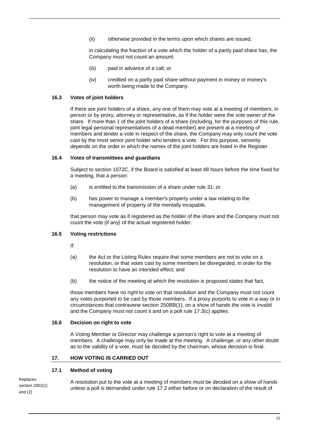(ii) otherwise provided in the terms upon which shares are issued,

in calculating the fraction of a vote which the holder of a partly paid share has, the Company must not count an amount:

- (iii) paid in advance of a call; or
- (iv) credited on a partly paid share without payment in money or money's worth being made to the Company.

## <span id="page-27-1"></span>**16.3 Votes of joint holders**

If there are joint holders of a share, any one of them may vote at a meeting of members, in person or by proxy, attorney or representative, as if the holder were the sole owner of the share. If more than 1 of the joint holders of a share (including, for the purposes of this rule, joint legal personal representatives of a dead member) are present at a meeting of members and tender a vote in respect of the share, the Company may only count the vote cast by the most senior joint holder who tenders a vote. For this purpose, seniority depends on the order in which the names of the joint holders are listed in the Register.

#### <span id="page-27-2"></span>**16.4 Votes of transmittees and guardians**

Subject to section 1072C, if the Board is satisfied at least 48 hours before the time fixed for a meeting, that a person:

- (a) is entitled to the transmission of a share under rule [31;](#page-42-0) or
- (b) has power to manage a member's property under a law relating to the management of property of the mentally incapable,

that person may vote as if registered as the holder of the share and the Company must not count the vote (if any) of the actual registered holder.

# <span id="page-27-3"></span>**16.5 Voting restrictions**

If:

- (a) the Act or the Listing Rules require that some members are not to vote on a resolution, or that votes cast by some members be disregarded, in order for the resolution to have an intended effect; and
- (b) the notice of the meeting at which the resolution is proposed states that fact,

those members have no right to vote on that resolution and the Company must not count any votes purported to be cast by those members. If a proxy purports to vote in a way or in circumstances that contravene section 250BB(1), on a show of hands the vote is invalid and the Company must not count it and on a poll rule [17.3\(c\)](#page-28-1) applies.

## **16.6 Decision on right to vote**

A Voting Member or Director may challenge a person's right to vote at a meeting of members. A challenge may only be made at the meeting. A challenge, or any other doubt as to the validity of a vote, must be decided by the chairman, whose decision is final.

#### <span id="page-27-0"></span>**17. HOW VOTING IS CARRIED OUT**

#### **17.1 Method of voting**

Replaces section 250J(1) and (2)

A resolution put to the vote at a meeting of members must be decided on a show of hands unless a poll is demanded under rule [17.2](#page-28-2) either before or on declaration of the result of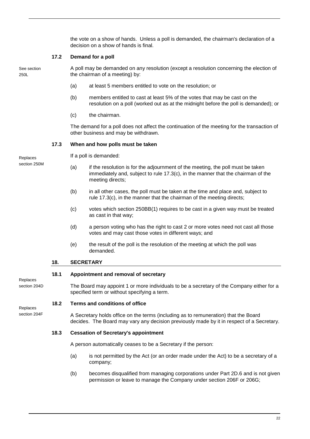the vote on a show of hands. Unless a poll is demanded, the chairman's declaration of a decision on a show of hands is final.

# <span id="page-28-2"></span>**17.2 Demand for a poll**

See section 250L

A poll may be demanded on any resolution (except a resolution concerning the election of the chairman of a meeting) by:

- (a) at least 5 members entitled to vote on the resolution; or
- <span id="page-28-0"></span>(b) members entitled to cast at least 5% of the votes that may be cast on the resolution on a poll (worked out as at the midnight before the poll is demanded); or
- (c) the chairman.

The demand for a poll does not affect the continuation of the meeting for the transaction of other business and may be withdrawn.

## **17.3 When and how polls must be taken**

Replaces section 250M If a poll is demanded:

- (a) if the resolution is for the adjournment of the meeting, the poll must be taken immediately and, subject to rule [17.3\(c\),](#page-28-1) in the manner that the chairman of the meeting directs;
- (b) in all other cases, the poll must be taken at the time and place and, subject to rule [17.3\(c\),](#page-28-1) in the manner that the chairman of the meeting directs;
- <span id="page-28-1"></span>(c) votes which section 250BB(1) requires to be cast in a given way must be treated as cast in that way;
- (d) a person voting who has the right to cast 2 or more votes need not cast all those votes and may cast those votes in different ways; and
- (e) the result of the poll is the resolution of the meeting at which the poll was demanded.

# **18. SECRETARY**

#### **18.1 Appointment and removal of secretary**

The Board may appoint 1 or more individuals to be a secretary of the Company either for a specified term or without specifying a term.

#### **18.2 Terms and conditions of office**

Replaces section 204F

Replaces section 204D

> A Secretary holds office on the terms (including as to remuneration) that the Board decides. The Board may vary any decision previously made by it in respect of a Secretary.

# **18.3 Cessation of Secretary's appointment**

A person automatically ceases to be a Secretary if the person:

- (a) is not permitted by the Act (or an order made under the Act) to be a secretary of a company;
- (b) becomes disqualified from managing corporations under Part 2D.6 and is not given permission or leave to manage the Company under section 206F or 206G;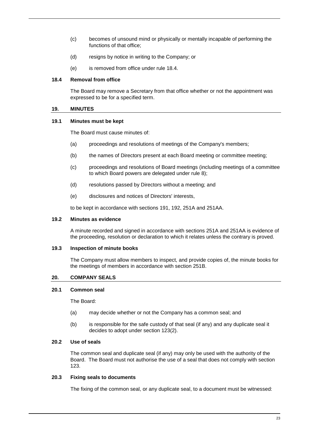- (c) becomes of unsound mind or physically or mentally incapable of performing the functions of that office;
- (d) resigns by notice in writing to the Company; or
- (e) is removed from office under rule 18.4.

## **18.4 Removal from office**

The Board may remove a Secretary from that office whether or not the appointment was expressed to be for a specified term.

#### **19. MINUTES**

#### **19.1 Minutes must be kept**

The Board must cause minutes of:

- (a) proceedings and resolutions of meetings of the Company's members;
- (b) the names of Directors present at each Board meeting or committee meeting;
- (c) proceedings and resolutions of Board meetings (including meetings of a committee to which Board powers are delegated under rule [8\)](#page-15-1);
- (d) resolutions passed by Directors without a meeting; and
- (e) disclosures and notices of Directors' interests,

to be kept in accordance with sections 191, 192, 251A and 251AA.

#### **19.2 Minutes as evidence**

A minute recorded and signed in accordance with sections 251A and 251AA is evidence of the proceeding, resolution or declaration to which it relates unless the contrary is proved.

#### <span id="page-29-0"></span>**19.3 Inspection of minute books**

The Company must allow members to inspect, and provide copies of, the minute books for the meetings of members in accordance with section 251B.

#### **20. COMPANY SEALS**

**20.1 Common seal**

The Board:

- (a) may decide whether or not the Company has a common seal; and
- (b) is responsible for the safe custody of that seal (if any) and any duplicate seal it decides to adopt under section 123(2).

#### **20.2 Use of seals**

The common seal and duplicate seal (if any) may only be used with the authority of the Board. The Board must not authorise the use of a seal that does not comply with section 123.

#### **20.3 Fixing seals to documents**

The fixing of the common seal, or any duplicate seal, to a document must be witnessed: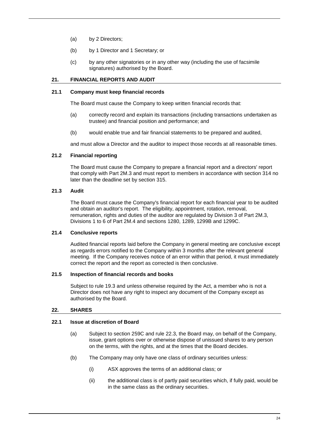- (a) by 2 Directors;
- (b) by 1 Director and 1 Secretary; or
- (c) by any other signatories or in any other way (including the use of facsimile signatures) authorised by the Board.

# **21. FINANCIAL REPORTS AND AUDIT**

#### **21.1 Company must keep financial records**

The Board must cause the Company to keep written financial records that:

- (a) correctly record and explain its transactions (including transactions undertaken as trustee) and financial position and performance; and
- (b) would enable true and fair financial statements to be prepared and audited,

and must allow a Director and the auditor to inspect those records at all reasonable times.

## <span id="page-30-0"></span>**21.2 Financial reporting**

The Board must cause the Company to prepare a financial report and a directors' report that comply with Part 2M.3 and must report to members in accordance with section 314 no later than the deadline set by section 315.

# **21.3 Audit**

The Board must cause the Company's financial report for each financial year to be audited and obtain an auditor's report. The eligibility, appointment, rotation, removal, remuneration, rights and duties of the auditor are regulated by Division 3 of Part 2M.3, Divisions 1 to 6 of Part 2M.4 and sections 1280, 1289, 1299B and 1299C.

#### **21.4 Conclusive reports**

Audited financial reports laid before the Company in general meeting are conclusive except as regards errors notified to the Company within 3 months after the relevant general meeting. If the Company receives notice of an error within that period, it must immediately correct the report and the report as corrected is then conclusive.

## **21.5 Inspection of financial records and books**

Subject to rule [19.3](#page-29-0) and unless otherwise required by the Act, a member who is not a Director does not have any right to inspect any document of the Company except as authorised by the Board.

# **22. SHARES**

# **22.1 Issue at discretion of Board**

- (a) Subject to section 259C and rule [22.3,](#page-31-0) the Board may, on behalf of the Company, issue, grant options over or otherwise dispose of unissued shares to any person on the terms, with the rights, and at the times that the Board decides.
- (b) The Company may only have one class of ordinary securities unless:
	- (i) ASX approves the terms of an additional class; or
	- (ii) the additional class is of partly paid securities which, if fully paid, would be in the same class as the ordinary securities.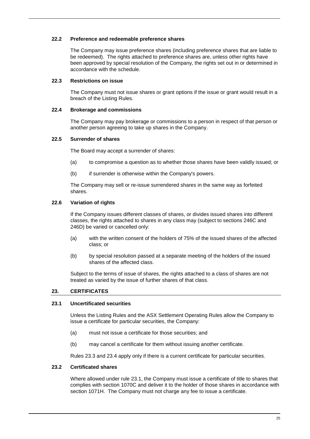## <span id="page-31-2"></span>**22.2 Preference and redeemable preference shares**

The Company may issue preference shares (including preference shares that are liable to be redeemed). The rights attached to preference shares are, unless other rights have been approved by special resolution of the Company, the rights set out in or determined in accordance with the schedule.

## <span id="page-31-0"></span>**22.3 Restrictions on issue**

The Company must not issue shares or grant options if the issue or grant would result in a breach of the Listing Rules.

## **22.4 Brokerage and commissions**

The Company may pay brokerage or commissions to a person in respect of that person or another person agreeing to take up shares in the Company.

## **22.5 Surrender of shares**

The Board may accept a surrender of shares:

- (a) to compromise a question as to whether those shares have been validly issued; or
- (b) if surrender is otherwise within the Company's powers.

The Company may sell or re-issue surrendered shares in the same way as forfeited shares.

# <span id="page-31-3"></span>**22.6 Variation of rights**

If the Company issues different classes of shares, or divides issued shares into different classes, the rights attached to shares in any class may (subject to sections 246C and 246D) be varied or cancelled only:

- (a) with the written consent of the holders of 75% of the issued shares of the affected class; or
- (b) by special resolution passed at a separate meeting of the holders of the issued shares of the affected class.

Subject to the terms of issue of shares, the rights attached to a class of shares are not treated as varied by the issue of further shares of that class.

# **23. CERTIFICATES**

#### <span id="page-31-1"></span>**23.1 Uncertificated securities**

Unless the Listing Rules and the ASX Settlement Operating Rules allow the Company to issue a certificate for particular securities, the Company:

- (a) must not issue a certificate for those securities; and
- (b) may cancel a certificate for them without issuing another certificate.

Rules [23.3](#page-32-0) and [23.4](#page-32-1) apply only if there is a current certificate for particular securities.

#### **23.2 Certificated shares**

Where allowed under rule [23.1,](#page-31-1) the Company must issue a certificate of title to shares that complies with section 1070C and deliver it to the holder of those shares in accordance with section 1071H. The Company must not charge any fee to issue a certificate.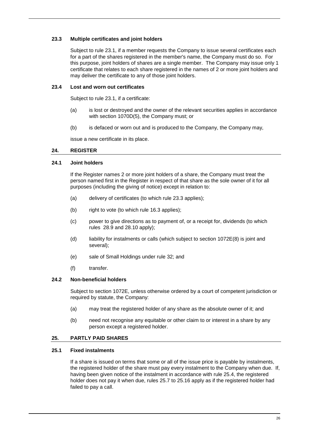# <span id="page-32-0"></span>**23.3 Multiple certificates and joint holders**

Subject to rule [23.1,](#page-31-1) if a member requests the Company to issue several certificates each for a part of the shares registered in the member's name, the Company must do so. For this purpose, joint holders of shares are a single member. The Company may issue only 1 certificate that relates to each share registered in the names of 2 or more joint holders and may deliver the certificate to any of those joint holders.

## <span id="page-32-1"></span>**23.4 Lost and worn out certificates**

Subject to rule [23.1,](#page-31-1) if a certificate:

- (a) is lost or destroyed and the owner of the relevant securities applies in accordance with section 1070D(5), the Company must; or
- (b) is defaced or worn out and is produced to the Company, the Company may,

issue a new certificate in its place.

## **24. REGISTER**

## **24.1 Joint holders**

If the Register names 2 or more joint holders of a share, the Company must treat the person named first in the Register in respect of that share as the sole owner of it for all purposes (including the giving of notice) except in relation to:

- (a) delivery of certificates (to which rule [23.3](#page-32-0) applies);
- (b) right to vote (to which rule [16.3](#page-27-1) applies);
- (c) power to give directions as to payment of, or a receipt for, dividends (to which rules [28.9](#page-39-0) and [28.10](#page-39-1) apply);
- (d) liability for instalments or calls (which subject to section 1072E(8) is joint and several);
- (e) sale of Small Holdings under rule 32; and
- (f) transfer.

# **24.2 Non-beneficial holders**

Subject to section 1072E, unless otherwise ordered by a court of competent jurisdiction or required by statute, the Company:

- (a) may treat the registered holder of any share as the absolute owner of it; and
- (b) need not recognise any equitable or other claim to or interest in a share by any person except a registered holder.

# **25. PARTLY PAID SHARES**

## **25.1 Fixed instalments**

If a share is issued on terms that some or all of the issue price is payable by instalments, the registered holder of the share must pay every instalment to the Company when due. If, having been given notice of the instalment in accordance with rule [25.4,](#page-33-1) the registered holder does not pay it when due, rules [25.7](#page-33-0) to [25.16](#page-35-0) apply as if the registered holder had failed to pay a call.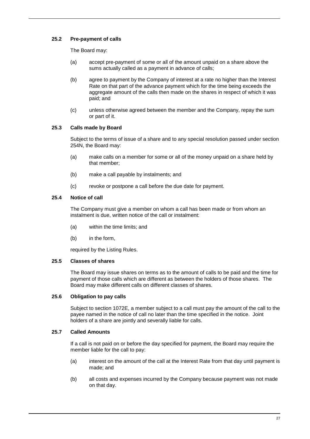# **25.2 Pre-payment of calls**

The Board may:

- (a) accept pre-payment of some or all of the amount unpaid on a share above the sums actually called as a payment in advance of calls;
- (b) agree to payment by the Company of interest at a rate no higher than the Interest Rate on that part of the advance payment which for the time being exceeds the aggregate amount of the calls then made on the shares in respect of which it was paid; and
- (c) unless otherwise agreed between the member and the Company, repay the sum or part of it.

# **25.3 Calls made by Board**

Subject to the terms of issue of a share and to any special resolution passed under section 254N, the Board may:

- (a) make calls on a member for some or all of the money unpaid on a share held by that member;
- (b) make a call payable by instalments; and
- (c) revoke or postpone a call before the due date for payment.

# <span id="page-33-1"></span>**25.4 Notice of call**

The Company must give a member on whom a call has been made or from whom an instalment is due, written notice of the call or instalment:

- (a) within the time limits; and
- (b) in the form,

required by the Listing Rules.

# **25.5 Classes of shares**

The Board may issue shares on terms as to the amount of calls to be paid and the time for payment of those calls which are different as between the holders of those shares. The Board may make different calls on different classes of shares.

# **25.6 Obligation to pay calls**

Subject to section 1072E, a member subject to a call must pay the amount of the call to the payee named in the notice of call no later than the time specified in the notice. Joint holders of a share are jointly and severally liable for calls.

# <span id="page-33-0"></span>**25.7 Called Amounts**

If a call is not paid on or before the day specified for payment, the Board may require the member liable for the call to pay:

- (a) interest on the amount of the call at the Interest Rate from that day until payment is made; and
- (b) all costs and expenses incurred by the Company because payment was not made on that day.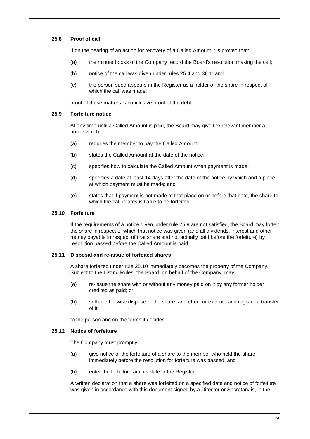# **25.8 Proof of call**

If on the hearing of an action for recovery of a Called Amount it is proved that:

- (a) the minute books of the Company record the Board's resolution making the call;
- (b) notice of the call was given under rules [25.4](#page-33-1) and [36.1;](#page-47-0) and
- (c) the person sued appears in the Register as a holder of the share in respect of which the call was made,

proof of those matters is conclusive proof of the debt.

## <span id="page-34-0"></span>**25.9 Forfeiture notice**

At any time until a Called Amount is paid, the Board may give the relevant member a notice which:

- (a) requires the member to pay the Called Amount;
- (b) states the Called Amount at the date of the notice;
- (c) specifies how to calculate the Called Amount when payment is made;
- (d) specifies a date at least 14 days after the date of the notice by which and a place at which payment must be made; and
- (e) states that if payment is not made at that place on or before that date, the share to which the call relates is liable to be forfeited.

## <span id="page-34-1"></span>**25.10 Forfeiture**

If the requirements of a notice given under rule [25.9](#page-34-0) are not satisfied, the Board may forfeit the share in respect of which that notice was given (and all dividends, interest and other money payable in respect of that share and not actually paid before the forfeiture) by resolution passed before the Called Amount is paid.

#### <span id="page-34-2"></span>**25.11 Disposal and re-issue of forfeited shares**

A share forfeited under rule [25.10](#page-34-1) immediately becomes the property of the Company. Subject to the Listing Rules, the Board, on behalf of the Company, may:

- (a) re-issue the share with or without any money paid on it by any former holder credited as paid; or
- (b) sell or otherwise dispose of the share, and effect or execute and register a transfer of it,

to the person and on the terms it decides.

# **25.12 Notice of forfeiture**

The Company must promptly:

- (a) give notice of the forfeiture of a share to the member who held the share immediately before the resolution for forfeiture was passed; and
- (b) enter the forfeiture and its date in the Register.

A written declaration that a share was forfeited on a specified date and notice of forfeiture was given in accordance with this document signed by a Director or Secretary is, in the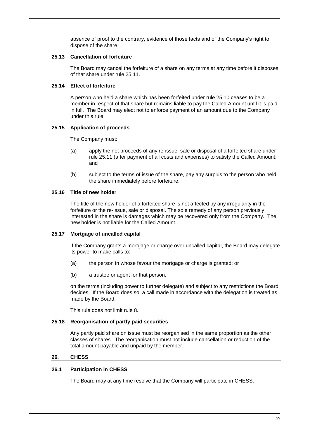absence of proof to the contrary, evidence of those facts and of the Company's right to dispose of the share.

## **25.13 Cancellation of forfeiture**

The Board may cancel the forfeiture of a share on any terms at any time before it disposes of that share under rule [25.11.](#page-34-2)

## **25.14 Effect of forfeiture**

A person who held a share which has been forfeited under rule [25.10](#page-34-1) ceases to be a member in respect of that share but remains liable to pay the Called Amount until it is paid in full. The Board may elect not to enforce payment of an amount due to the Company under this rule.

## <span id="page-35-2"></span>**25.15 Application of proceeds**

The Company must:

- (a) apply the net proceeds of any re-issue, sale or disposal of a forfeited share under rule [25.11](#page-34-2) (after payment of all costs and expenses) to satisfy the Called Amount; and
- (b) subject to the terms of issue of the share, pay any surplus to the person who held the share immediately before forfeiture.

# <span id="page-35-0"></span>**25.16 Title of new holder**

The title of the new holder of a forfeited share is not affected by any irregularity in the forfeiture or the re-issue, sale or disposal. The sole remedy of any person previously interested in the share is damages which may be recovered only from the Company. The new holder is not liable for the Called Amount.

# **25.17 Mortgage of uncalled capital**

If the Company grants a mortgage or charge over uncalled capital, the Board may delegate its power to make calls to:

- (a) the person in whose favour the mortgage or charge is granted; or
- (b) a trustee or agent for that person,

on the terms (including power to further delegate) and subject to any restrictions the Board decides. If the Board does so, a call made in accordance with the delegation is treated as made by the Board.

This rule does not limit rule 8.

#### **25.18 Reorganisation of partly paid securities**

Any partly paid share on issue must be reorganised in the same proportion as the other classes of shares. The reorganisation must not include cancellation or reduction of the total amount payable and unpaid by the member.

# <span id="page-35-1"></span>**26. CHESS**

# **26.1 Participation in CHESS**

The Board may at any time resolve that the Company will participate in CHESS.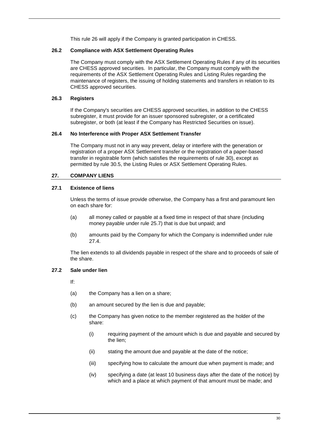This rule [26](#page-35-1) will apply if the Company is granted participation in CHESS.

# **26.2 Compliance with ASX Settlement Operating Rules**

The Company must comply with the ASX Settlement Operating Rules if any of its securities are CHESS approved securities. In particular, the Company must comply with the requirements of the ASX Settlement Operating Rules and Listing Rules regarding the maintenance of registers, the issuing of holding statements and transfers in relation to its CHESS approved securities.

## **26.3 Registers**

If the Company's securities are CHESS approved securities, in addition to the CHESS subregister, it must provide for an issuer sponsored subregister, or a certificated subregister, or both (at least if the Company has Restricted Securities on issue).

## **26.4 No Interference with Proper ASX Settlement Transfer**

The Company must not in any way prevent, delay or interfere with the generation or registration of a proper ASX Settlement transfer or the registration of a paper-based transfer in registrable form (which satisfies the requirements of rule 30), except as permitted by rule 30.5, the Listing Rules or ASX Settlement Operating Rules.

# **27. COMPANY LIENS**

# **27.1 Existence of liens**

Unless the terms of issue provide otherwise, the Company has a first and paramount lien on each share for:

- (a) all money called or payable at a fixed time in respect of that share (including money payable under rule [25.7\)](#page-33-0) that is due but unpaid; and
- (b) amounts paid by the Company for which the Company is indemnified under rule [27.4.](#page-37-0)

The lien extends to all dividends payable in respect of the share and to proceeds of sale of the share.

# **27.2 Sale under lien**

If:

- (a) the Company has a lien on a share;
- (b) an amount secured by the lien is due and payable;
- (c) the Company has given notice to the member registered as the holder of the share:
	- (i) requiring payment of the amount which is due and payable and secured by the lien;
	- (ii) stating the amount due and payable at the date of the notice;
	- (iii) specifying how to calculate the amount due when payment is made; and
	- (iv) specifying a date (at least 10 business days after the date of the notice) by which and a place at which payment of that amount must be made; and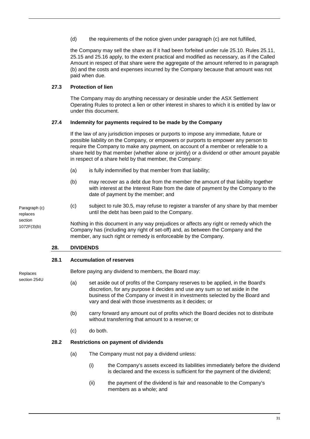(d) the requirements of the notice given under paragraph (c) are not fulfilled,

the Company may sell the share as if it had been forfeited under rule [25.10.](#page-34-1) Rules [25.11,](#page-34-2) [25.15](#page-35-2) and [25.16](#page-35-0) apply, to the extent practical and modified as necessary, as if the Called Amount in respect of that share were the aggregate of the amount referred to in paragraph (b) and the costs and expenses incurred by the Company because that amount was not paid when due.

# **27.3 Protection of lien**

The Company may do anything necessary or desirable under the ASX Settlement Operating Rules to protect a lien or other interest in shares to which it is entitled by law or under this document.

# <span id="page-37-0"></span>**27.4 Indemnity for payments required to be made by the Company**

If the law of any jurisdiction imposes or purports to impose any immediate, future or possible liability on the Company, or empowers or purports to empower any person to require the Company to make any payment, on account of a member or referable to a share held by that member (whether alone or jointly) or a dividend or other amount payable in respect of a share held by that member, the Company:

- (a) is fully indemnified by that member from that liability;
- (b) may recover as a debt due from the member the amount of that liability together with interest at the Interest Rate from the date of payment by the Company to the date of payment by the member; and
- (c) subject to rule [30.5,](#page-41-1) may refuse to register a transfer of any share by that member until the debt has been paid to the Company.

Nothing in this document in any way prejudices or affects any right or remedy which the Company has (including any right of set-off) and, as between the Company and the member, any such right or remedy is enforceable by the Company.

# **28. DIVIDENDS**

## **28.1 Accumulation of reserves**

Replaces section 254U

Paragraph (c) replaces section 1072F(3)(b)

Before paying any dividend to members, the Board may:

- (a) set aside out of profits of the Company reserves to be applied, in the Board's discretion, for any purpose it decides and use any sum so set aside in the business of the Company or invest it in investments selected by the Board and vary and deal with those investments as it decides; or
- (b) carry forward any amount out of profits which the Board decides not to distribute without transferring that amount to a reserve; or
- (c) do both.

# <span id="page-37-1"></span>**28.2 Restrictions on payment of dividends**

- (a) The Company must not pay a dividend unless:
	- (i) the Company's assets exceed its liabilities immediately before the dividend is declared and the excess is sufficient for the payment of the dividend;
	- (ii) the payment of the dividend is fair and reasonable to the Company's members as a whole; and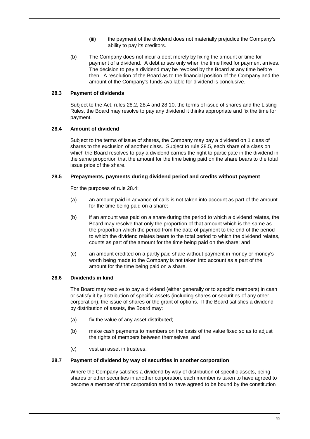- (iii) the payment of the dividend does not materially prejudice the Company's ability to pay its creditors.
- (b) The Company does not incur a debt merely by fixing the amount or time for payment of a dividend. A debt arises only when the time fixed for payment arrives. The decision to pay a dividend may be revoked by the Board at any time before then. A resolution of the Board as to the financial position of the Company and the amount of the Company's funds available for dividend is conclusive.

## **28.3 Payment of dividends**

Subject to the Act, rules [28.2,](#page-37-1) [28.4](#page-38-0) and [28.10,](#page-39-1) the terms of issue of shares and the Listing Rules, the Board may resolve to pay any dividend it thinks appropriate and fix the time for payment.

## <span id="page-38-0"></span>**28.4 Amount of dividend**

Subject to the terms of issue of shares, the Company may pay a dividend on 1 class of shares to the exclusion of another class. Subject to rule [28.5,](#page-38-1) each share of a class on which the Board resolves to pay a dividend carries the right to participate in the dividend in the same proportion that the amount for the time being paid on the share bears to the total issue price of the share.

## <span id="page-38-1"></span>**28.5 Prepayments, payments during dividend period and credits without payment**

For the purposes of rule [28.4:](#page-38-0)

- (a) an amount paid in advance of calls is not taken into account as part of the amount for the time being paid on a share;
- (b) if an amount was paid on a share during the period to which a dividend relates, the Board may resolve that only the proportion of that amount which is the same as the proportion which the period from the date of payment to the end of the period to which the dividend relates bears to the total period to which the dividend relates, counts as part of the amount for the time being paid on the share; and
- (c) an amount credited on a partly paid share without payment in money or money's worth being made to the Company is not taken into account as a part of the amount for the time being paid on a share.

# **28.6 Dividends in kind**

The Board may resolve to pay a dividend (either generally or to specific members) in cash or satisfy it by distribution of specific assets (including shares or securities of any other corporation), the issue of shares or the grant of options. If the Board satisfies a dividend by distribution of assets, the Board may:

- (a) fix the value of any asset distributed;
- (b) make cash payments to members on the basis of the value fixed so as to adjust the rights of members between themselves; and
- (c) vest an asset in trustees.

#### **28.7 Payment of dividend by way of securities in another corporation**

Where the Company satisfies a dividend by way of distribution of specific assets, being shares or other securities in another corporation, each member is taken to have agreed to become a member of that corporation and to have agreed to be bound by the constitution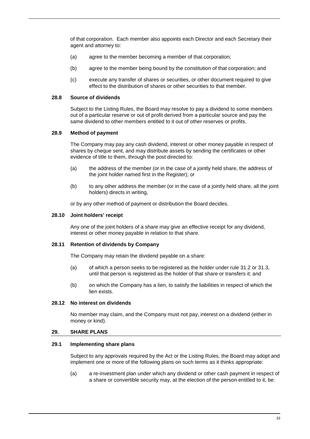of that corporation. Each member also appoints each Director and each Secretary their agent and attorney to:

- (a) agree to the member becoming a member of that corporation;
- (b) agree to the member being bound by the constitution of that corporation; and
- (c) execute any transfer of shares or securities, or other document required to give effect to the distribution of shares or other securities to that member.

#### **28.8 Source of dividends**

Subject to the Listing Rules, the Board may resolve to pay a dividend to some members out of a particular reserve or out of profit derived from a particular source and pay the same dividend to other members entitled to it out of other reserves or profits.

## <span id="page-39-0"></span>**28.9 Method of payment**

The Company may pay any cash dividend, interest or other money payable in respect of shares by cheque sent, and may distribute assets by sending the certificates or other evidence of title to them, through the post directed to:

- (a) the address of the member (or in the case of a jointly held share, the address of the joint holder named first in the Register); or
- (b) to any other address the member (or in the case of a jointly held share, all the joint holders) directs in writing,

or by any other method of payment or distribution the Board decides.

## <span id="page-39-1"></span>**28.10 Joint holders' receipt**

Any one of the joint holders of a share may give an effective receipt for any dividend, interest or other money payable in relation to that share.

#### **28.11 Retention of dividends by Company**

The Company may retain the dividend payable on a share:

- (a) of which a person seeks to be registered as the holder under rule [31.2](#page-42-1) or [31.3,](#page-43-0)  until that person is registered as the holder of that share or transfers it; and
- (b) on which the Company has a lien, to satisfy the liabilities in respect of which the lien exists.

#### **28.12 No interest on dividends**

No member may claim, and the Company must not pay, interest on a dividend (either in money or kind).

#### **29. SHARE PLANS**

#### <span id="page-39-2"></span>**29.1 Implementing share plans**

Subject to any approvals required by the Act or the Listing Rules, the Board may adopt and implement one or more of the following plans on such terms as it thinks appropriate:

(a) a re-investment plan under which any dividend or other cash payment in respect of a share or convertible security may, at the election of the person entitled to it, be: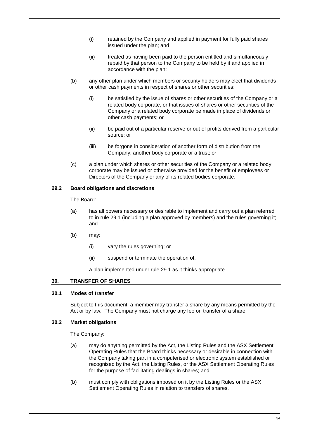- (i) retained by the Company and applied in payment for fully paid shares issued under the plan; and
- (ii) treated as having been paid to the person entitled and simultaneously repaid by that person to the Company to be held by it and applied in accordance with the plan;
- (b) any other plan under which members or security holders may elect that dividends or other cash payments in respect of shares or other securities:
	- (i) be satisfied by the issue of shares or other securities of the Company or a related body corporate, or that issues of shares or other securities of the Company or a related body corporate be made in place of dividends or other cash payments; or
	- (ii) be paid out of a particular reserve or out of profits derived from a particular source; or
	- (iii) be forgone in consideration of another form of distribution from the Company, another body corporate or a trust; or
- (c) a plan under which shares or other securities of the Company or a related body corporate may be issued or otherwise provided for the benefit of employees or Directors of the Company or any of its related bodies corporate.

# **29.2 Board obligations and discretions**

The Board:

- (a) has all powers necessary or desirable to implement and carry out a plan referred to in rule [29.1](#page-39-2) (including a plan approved by members) and the rules governing it; and
- (b) may:
	- (i) vary the rules governing; or
	- (ii) suspend or terminate the operation of,

a plan implemented under rule [29.1](#page-39-2) as it thinks appropriate.

#### <span id="page-40-0"></span>**30. TRANSFER OF SHARES**

## **30.1 Modes of transfer**

Subject to this document, a member may transfer a share by any means permitted by the Act or by law. The Company must not charge any fee on transfer of a share.

# **30.2 Market obligations**

The Company:

- (a) may do anything permitted by the Act, the Listing Rules and the ASX Settlement Operating Rules that the Board thinks necessary or desirable in connection with the Company taking part in a computerised or electronic system established or recognised by the Act, the Listing Rules, or the ASX Settlement Operating Rules for the purpose of facilitating dealings in shares; and
- (b) must comply with obligations imposed on it by the Listing Rules or the ASX Settlement Operating Rules in relation to transfers of shares.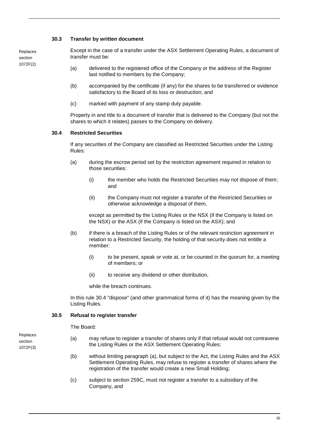## **30.3 Transfer by written document**

Replaces section 1072F(2)

Except in the case of a transfer under the ASX Settlement Operating Rules, a document of transfer must be:

- (a) delivered to the registered office of the Company or the address of the Register last notified to members by the Company;
- (b) accompanied by the certificate (if any) for the shares to be transferred or evidence satisfactory to the Board of its loss or destruction; and
- (c) marked with payment of any stamp duty payable.

Property in and title to a document of transfer that is delivered to the Company (but not the shares to which it relates) passes to the Company on delivery.

## <span id="page-41-0"></span>**30.4 Restricted Securities**

If any securities of the Company are classified as Restricted Securities under the Listing Rules:

- (a) during the escrow period set by the restriction agreement required in relation to those securities:
	- (i) the member who holds the Restricted Securities may not dispose of them; and
	- (ii) the Company must not register a transfer of the Restricted Securities or otherwise acknowledge a disposal of them,

except as permitted by the Listing Rules or the NSX (if the Company is listed on the NSX) or the ASX (if the Company is listed on the ASX); and

- (b) if there is a breach of the Listing Rules or of the relevant restriction agreement in relation to a Restricted Security, the holding of that security does not entitle a member:
	- (i) to be present, speak or vote at, or be counted in the quorum for, a meeting of members; or
	- (ii) to receive any dividend or other distribution,

while the breach continues.

In this rule [30.4](#page-41-0) "dispose" (and other grammatical forms of it) has the meaning given by the Listing Rules.

# <span id="page-41-1"></span>**30.5 Refusal to register transfer**

The Board:

- (a) may refuse to register a transfer of shares only if that refusal would not contravene the Listing Rules or the ASX Settlement Operating Rules;
- (b) without limiting paragraph (a), but subject to the Act, the Listing Rules and the ASX Settlement Operating Rules, may refuse to register a transfer of shares where the registration of the transfer would create a new Small Holding;
- (c) subject to section 259C, must not register a transfer to a subsidiary of the Company, and

Replaces section 1072F(3)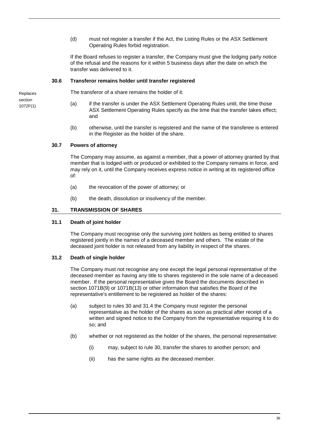(d) must not register a transfer if the Act, the Listing Rules or the ASX Settlement Operating Rules forbid registration.

If the Board refuses to register a transfer, the Company must give the lodging party notice of the refusal and the reasons for it within 5 business days after the date on which the transfer was delivered to it.

## **30.6 Transferor remains holder until transfer registered**

The transferor of a share remains the holder of it:

- (a) if the transfer is under the ASX Settlement Operating Rules until, the time those ASX Settlement Operating Rules specify as the time that the transfer takes effect; and
- (b) otherwise, until the transfer is registered and the name of the transferee is entered in the Register as the holder of the share.

# **30.7 Powers of attorney**

The Company may assume, as against a member, that a power of attorney granted by that member that is lodged with or produced or exhibited to the Company remains in force, and may rely on it, until the Company receives express notice in writing at its registered office of:

- (a) the revocation of the power of attorney; or
- (b) the death, dissolution or insolvency of the member.

# <span id="page-42-0"></span>**31. TRANSMISSION OF SHARES**

#### **31.1 Death of joint holder**

The Company must recognise only the surviving joint holders as being entitled to shares registered jointly in the names of a deceased member and others. The estate of the deceased joint holder is not released from any liability in respect of the shares.

#### <span id="page-42-1"></span>**31.2 Death of single holder**

The Company must not recognise any one except the legal personal representative of the deceased member as having any title to shares registered in the sole name of a deceased member. If the personal representative gives the Board the documents described in section 1071B(9) or 1071B(13) or other information that satisfies the Board of the representative's entitlement to be registered as holder of the shares:

- (a) subject to rules [30](#page-40-0) and [31.4](#page-43-1) the Company must register the personal representative as the holder of the shares as soon as practical after receipt of a written and signed notice to the Company from the representative requiring it to do so; and
- (b) whether or not registered as the holder of the shares, the personal representative:
	- (i) may, subject to rule [30,](#page-40-0) transfer the shares to another person; and
	- (ii) has the same rights as the deceased member.

Replaces section 1072F(1)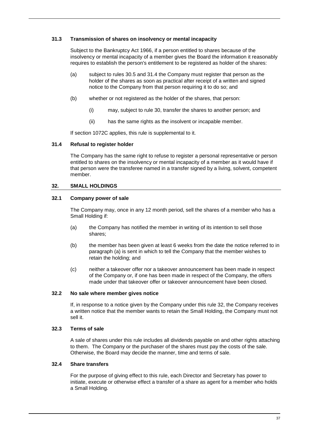## <span id="page-43-0"></span>**31.3 Transmission of shares on insolvency or mental incapacity**

Subject to the Bankruptcy Act 1966, if a person entitled to shares because of the insolvency or mental incapacity of a member gives the Board the information it reasonably requires to establish the person's entitlement to be registered as holder of the shares:

- (a) subject to rules [30.5](#page-41-1) and [31.4](#page-43-1) the Company must register that person as the holder of the shares as soon as practical after receipt of a written and signed notice to the Company from that person requiring it to do so; and
- (b) whether or not registered as the holder of the shares, that person:
	- (i) may, subject to rule [30,](#page-40-0) transfer the shares to another person; and
	- (ii) has the same rights as the insolvent or incapable member.

If section 1072C applies, this rule is supplemental to it.

## <span id="page-43-1"></span>**31.4 Refusal to register holder**

The Company has the same right to refuse to register a personal representative or person entitled to shares on the insolvency or mental incapacity of a member as it would have if that person were the transferee named in a transfer signed by a living, solvent, competent member.

# <span id="page-43-3"></span>**32. SMALL HOLDINGS**

# **32.1 Company power of sale**

The Company may, once in any 12 month period, sell the shares of a member who has a Small Holding if:

- <span id="page-43-2"></span>(a) the Company has notified the member in writing of its intention to sell those shares;
- (b) the member has been given at least 6 weeks from the date the notice referred to in paragraph [\(a\)](#page-43-2) is sent in which to tell the Company that the member wishes to retain the holding; and
- (c) neither a takeover offer nor a takeover announcement has been made in respect of the Company or, if one has been made in respect of the Company, the offers made under that takeover offer or takeover announcement have been closed.

# **32.2 No sale where member gives notice**

If, in response to a notice given by the Company under this rule [32,](#page-43-3) the Company receives a written notice that the member wants to retain the Small Holding, the Company must not sell it.

## **32.3 Terms of sale**

A sale of shares under this rule includes all dividends payable on and other rights attaching to them. The Company or the purchaser of the shares must pay the costs of the sale. Otherwise, the Board may decide the manner, time and terms of sale.

#### **32.4 Share transfers**

For the purpose of giving effect to this rule, each Director and Secretary has power to initiate, execute or otherwise effect a transfer of a share as agent for a member who holds a Small Holding.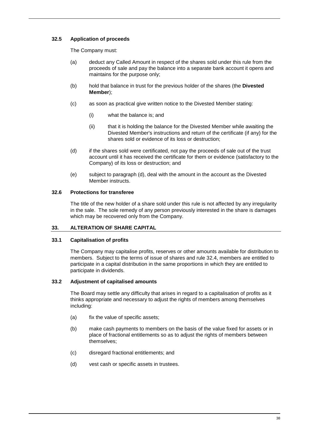# **32.5 Application of proceeds**

The Company must:

- (a) deduct any Called Amount in respect of the shares sold under this rule from the proceeds of sale and pay the balance into a separate bank account it opens and maintains for the purpose only;
- (b) hold that balance in trust for the previous holder of the shares (the **Divested Member**);
- (c) as soon as practical give written notice to the Divested Member stating:
	- (i) what the balance is; and
	- (ii) that it is holding the balance for the Divested Member while awaiting the Divested Member's instructions and return of the certificate (if any) for the shares sold or evidence of its loss or destruction;
- (d) if the shares sold were certificated, not pay the proceeds of sale out of the trust account until it has received the certificate for them or evidence (satisfactory to the Company) of its loss or destruction; and
- (e) subject to paragraph (d), deal with the amount in the account as the Divested Member instructs.

# **32.6 Protections for transferee**

The title of the new holder of a share sold under this rule is not affected by any irregularity in the sale. The sole remedy of any person previously interested in the share is damages which may be recovered only from the Company.

# **33. ALTERATION OF SHARE CAPITAL**

# **33.1 Capitalisation of profits**

The Company may capitalise profits, reserves or other amounts available for distribution to members. Subject to the terms of issue of shares and rule 32.4, members are entitled to participate in a capital distribution in the same proportions in which they are entitled to participate in dividends.

# **33.2 Adjustment of capitalised amounts**

The Board may settle any difficulty that arises in regard to a capitalisation of profits as it thinks appropriate and necessary to adjust the rights of members among themselves including:

- (a) fix the value of specific assets;
- (b) make cash payments to members on the basis of the value fixed for assets or in place of fractional entitlements so as to adjust the rights of members between themselves;
- (c) disregard fractional entitlements; and
- (d) vest cash or specific assets in trustees.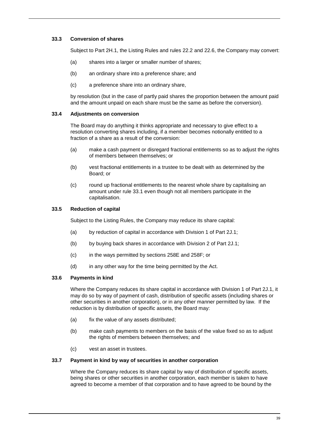# **33.3 Conversion of shares**

Subject to Part 2H.1, the Listing Rules and rules [22.2](#page-31-2) and [22.6,](#page-31-3) the Company may convert:

- (a) shares into a larger or smaller number of shares;
- (b) an ordinary share into a preference share; and
- (c) a preference share into an ordinary share,

by resolution (but in the case of partly paid shares the proportion between the amount paid and the amount unpaid on each share must be the same as before the conversion).

## **33.4 Adjustments on conversion**

The Board may do anything it thinks appropriate and necessary to give effect to a resolution converting shares including, if a member becomes notionally entitled to a fraction of a share as a result of the conversion:

- (a) make a cash payment or disregard fractional entitlements so as to adjust the rights of members between themselves; or
- (b) vest fractional entitlements in a trustee to be dealt with as determined by the Board; or
- (c) round up fractional entitlements to the nearest whole share by capitalising an amount under rule 33.1 even though not all members participate in the capitalisation.

# **33.5 Reduction of capital**

Subject to the Listing Rules, the Company may reduce its share capital:

- (a) by reduction of capital in accordance with Division 1 of Part 2J.1;
- (b) by buying back shares in accordance with Division 2 of Part 2J.1;
- (c) in the ways permitted by sections 258E and 258F; or
- (d) in any other way for the time being permitted by the Act.

# **33.6 Payments in kind**

Where the Company reduces its share capital in accordance with Division 1 of Part 2J.1, it may do so by way of payment of cash, distribution of specific assets (including shares or other securities in another corporation), or in any other manner permitted by law. If the reduction is by distribution of specific assets, the Board may:

- (a) fix the value of any assets distributed:
- (b) make cash payments to members on the basis of the value fixed so as to adjust the rights of members between themselves; and
- (c) vest an asset in trustees.

#### **33.7 Payment in kind by way of securities in another corporation**

Where the Company reduces its share capital by way of distribution of specific assets, being shares or other securities in another corporation, each member is taken to have agreed to become a member of that corporation and to have agreed to be bound by the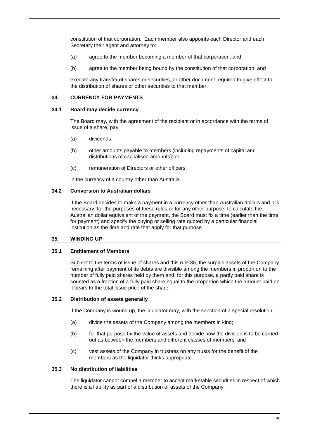constitution of that corporation. Each member also appoints each Director and each Secretary their agent and attorney to:

- (a) agree to the member becoming a member of that corporation; and
- (b) agree to the member being bound by the constitution of that corporation; and

execute any transfer of shares or securities, or other document required to give effect to the distribution of shares or other securities to that member.

## **34. CURRENCY FOR PAYMENTS**

#### **34.1 Board may decide currency**

The Board may, with the agreement of the recipient or in accordance with the terms of issue of a share, pay:

- (a) dividends;
- (b) other amounts payable to members (including repayments of capital and distributions of capitalised amounts); or
- (c) remuneration of Directors or other officers,

in the currency of a country other than Australia.

## **34.2 Conversion to Australian dollars**

If the Board decides to make a payment in a currency other than Australian dollars and it is necessary, for the purposes of these rules or for any other purpose, to calculate the Australian dollar equivalent of the payment, the Board must fix a time (earlier than the time for payment) and specify the buying or selling rate quoted by a particular financial institution as the time and rate that apply for that purpose.

#### <span id="page-46-0"></span>**35. WINDING UP**

## **35.1 Entitlement of Members**

Subject to the terms of issue of shares and this rule [35,](#page-46-0) the surplus assets of the Company remaining after payment of its debts are divisible among the members in proportion to the number of fully paid shares held by them and, for this purpose, a partly paid share is counted as a fraction of a fully paid share equal to the proportion which the amount paid on it bears to the total issue price of the share.

## <span id="page-46-1"></span>**35.2 Distribution of assets generally**

If the Company is wound up, the liquidator may, with the sanction of a special resolution:

- (a) divide the assets of the Company among the members in kind;
- (b) for that purpose fix the value of assets and decide how the division is to be carried out as between the members and different classes of members; and
- (c) vest assets of the Company in trustees on any trusts for the benefit of the members as the liquidator thinks appropriate.

# **35.3 No distribution of liabilities**

The liquidator cannot compel a member to accept marketable securities in respect of which there is a liability as part of a distribution of assets of the Company.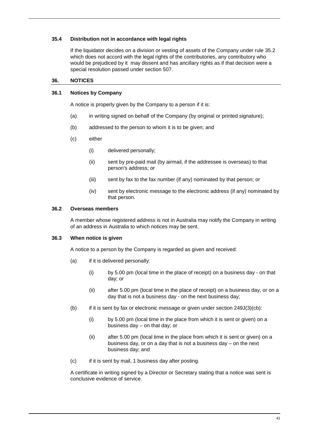## **35.4 Distribution not in accordance with legal rights**

If the liquidator decides on a division or vesting of assets of the Company under rule [35.2](#page-46-1) which does not accord with the legal rights of the contributories, any contributory who would be prejudiced by it may dissent and has ancillary rights as if that decision were a special resolution passed under section 507.

## **36. NOTICES**

## <span id="page-47-0"></span>**36.1 Notices by Company**

A notice is properly given by the Company to a person if it is:

- (a) in writing signed on behalf of the Company (by original or printed signature);
- (b) addressed to the person to whom it is to be given; and
- (c) either
	- (i) delivered personally;
	- (ii) sent by pre-paid mail (by airmail, if the addressee is overseas) to that person's address; or
	- (iii) sent by fax to the fax number (if any) nominated by that person; or
	- (iv) sent by electronic message to the electronic address (if any) nominated by that person.

## **36.2 Overseas members**

A member whose registered address is not in Australia may notify the Company in writing of an address in Australia to which notices may be sent.

## **36.3 When notice is given**

A notice to a person by the Company is regarded as given and received:

- (a) if it is delivered personally:
	- (i) by 5.00 pm (local time in the place of receipt) on a business day on that day; or
	- (ii) after 5.00 pm (local time in the place of receipt) on a business day, or on a day that is not a business day - on the next business day;
- (b) if it is sent by fax or electronic message or given under section  $249J(3)(cb)$ :
	- (i) by 5.00 pm (local time in the place from which it is sent or given) on a business day – on that day; or
	- (ii) after 5.00 pm (local time in the place from which it is sent or given) on a business day, or on a day that is not a business day – on the next business day; and
- <span id="page-47-1"></span>(c) if it is sent by mail, 1 business day after posting.

A certificate in writing signed by a Director or Secretary stating that a notice was sent is conclusive evidence of service.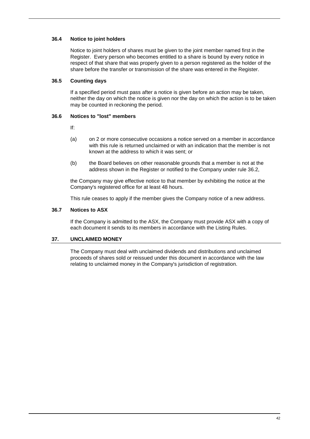# **36.4 Notice to joint holders**

Notice to joint holders of shares must be given to the joint member named first in the Register. Every person who becomes entitled to a share is bound by every notice in respect of that share that was properly given to a person registered as the holder of the share before the transfer or transmission of the share was entered in the Register.

# **36.5 Counting days**

If a specified period must pass after a notice is given before an action may be taken, neither the day on which the notice is given nor the day on which the action is to be taken may be counted in reckoning the period.

# **36.6 Notices to "lost" members**

If:

- (a) on 2 or more consecutive occasions a notice served on a member in accordance with this rule is returned unclaimed or with an indication that the member is not known at the address to which it was sent; or
- (b) the Board believes on other reasonable grounds that a member is not at the address shown in the Register or notified to the Company under rule 36.2,

the Company may give effective notice to that member by exhibiting the notice at the Company's registered office for at least 48 hours.

This rule ceases to apply if the member gives the Company notice of a new address.

# **36.7 Notices to ASX**

If the Company is admitted to the ASX, the Company must provide ASX with a copy of each document it sends to its members in accordance with the Listing Rules.

# <span id="page-48-0"></span>**37. UNCLAIMED MONEY**

The Company must deal with unclaimed dividends and distributions and unclaimed proceeds of shares sold or reissued under this document in accordance with the law relating to unclaimed money in the Company's jurisdiction of registration.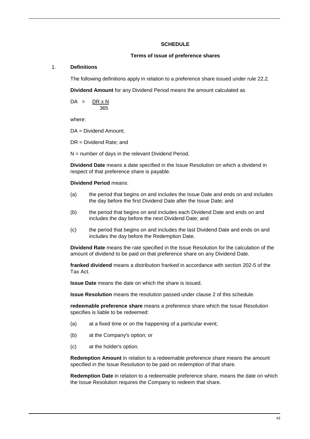## **SCHEDULE**

#### **Terms of issue of preference shares**

## 1. **Definitions**

The following definitions apply in relation to a preference share issued under rule [22.2.](#page-31-2)

**Dividend Amount** for any Dividend Period means the amount calculated as

 $DA = DR \times N$ 365

where:

DA = Dividend Amount;

DR = Dividend Rate; and

N = number of days in the relevant Dividend Period.

**Dividend Date** means a date specified in the Issue Resolution on which a dividend in respect of that preference share is payable.

#### **Dividend Period** means:

- (a) the period that begins on and includes the Issue Date and ends on and includes the day before the first Dividend Date after the Issue Date; and
- (b) the period that begins on and includes each Dividend Date and ends on and includes the day before the next Dividend Date; and
- (c) the period that begins on and includes the last Dividend Date and ends on and includes the day before the Redemption Date.

**Dividend Rate** means the rate specified in the Issue Resolution for the calculation of the amount of dividend to be paid on that preference share on any Dividend Date.

**franked dividend** means a distribution franked in accordance with section 202-5 of the Tax Act.

**Issue Date** means the date on which the share is issued.

**Issue Resolution** means the resolution passed under clause 2 of this schedule.

**redeemable preference share** means a preference share which the Issue Resolution specifies is liable to be redeemed:

- (a) at a fixed time or on the happening of a particular event;
- (b) at the Company's option; or
- (c) at the holder's option.

**Redemption Amount** in relation to a redeemable preference share means the amount specified in the Issue Resolution to be paid on redemption of that share.

**Redemption Date** in relation to a redeemable preference share, means the date on which the Issue Resolution requires the Company to redeem that share.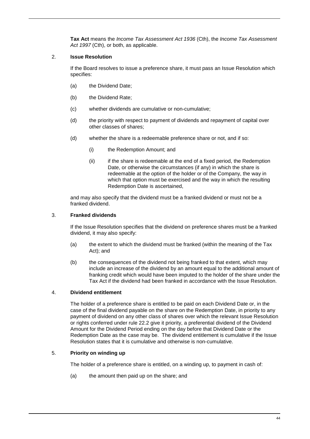**Tax Act** means the *Income Tax Assessment Act 1936* (Cth), the *Income Tax Assessment Act 1997* (Cth), or both, as applicable.

# 2. **Issue Resolution**

If the Board resolves to issue a preference share, it must pass an Issue Resolution which specifies:

- (a) the Dividend Date;
- (b) the Dividend Rate;
- (c) whether dividends are cumulative or non-cumulative;
- (d) the priority with respect to payment of dividends and repayment of capital over other classes of shares;
- (d) whether the share is a redeemable preference share or not, and if so:
	- (i) the Redemption Amount; and
	- (ii) if the share is redeemable at the end of a fixed period, the Redemption Date, or otherwise the circumstances (if any) in which the share is redeemable at the option of the holder or of the Company, the way in which that option must be exercised and the way in which the resulting Redemption Date is ascertained,

and may also specify that the dividend must be a franked dividend or must not be a franked dividend.

# 3. **Franked dividends**

If the Issue Resolution specifies that the dividend on preference shares must be a franked dividend, it may also specify:

- (a) the extent to which the dividend must be franked (within the meaning of the Tax Act); and
- (b) the consequences of the dividend not being franked to that extent, which may include an increase of the dividend by an amount equal to the additional amount of franking credit which would have been imputed to the holder of the share under the Tax Act if the dividend had been franked in accordance with the Issue Resolution.

# 4. **Dividend entitlement**

The holder of a preference share is entitled to be paid on each Dividend Date or, in the case of the final dividend payable on the share on the Redemption Date, in priority to any payment of dividend on any other class of shares over which the relevant Issue Resolution or rights conferred under rule [22.2](#page-31-2) give it priority, a preferential dividend of the Dividend Amount for the Dividend Period ending on the day before that Dividend Date or the Redemption Date as the case may be. The dividend entitlement is cumulative if the Issue Resolution states that it is cumulative and otherwise is non-cumulative.

# 5. **Priority on winding up**

The holder of a preference share is entitled, on a winding up, to payment in cash of:

(a) the amount then paid up on the share; and